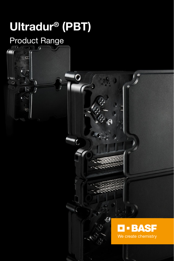# Ultradur® (PBT)

 $\bullet$ 

## Product Range

 $\mathbf{D}$ 

 $\overline{O}$ 



 $\overline{C}$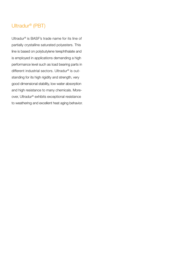#### Ultradur® (PBT)

Ultradur® is BASF's trade name for its line of partially crystalline saturated polyesters. This line is based on polybutylene terephthalate and is employed in applications demanding a high performance level such as load bearing parts in different industrial sectors. Ultradur® is outstanding for its high rigidity and strength, very good dimensional stability, low water absorption and high resistance to many chemicals. Moreover, Ultradur® exhibits exceptional resistance to weathering and excellent heat aging behavior.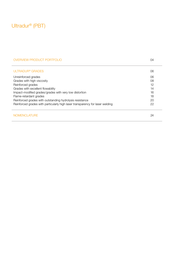### Ultradur® (PBT)

#### OVERVIEW PRODUCT PORTFOLIO **04**

| ULTRADUR <sup>®</sup> GRADES                                                  | 06 |
|-------------------------------------------------------------------------------|----|
| Unreinforced grades                                                           | 06 |
| Grades with high viscosity                                                    | 08 |
| Reinforced grades                                                             | 12 |
| Grades with excellent flowability                                             | 14 |
| Impact-modified grades/grades with very low distortion                        | 16 |
| Flame-retardant grades                                                        | 18 |
| Reinforced grades with outstanding hydrolysis resistance                      | 20 |
| Reinforced grades with particularly high laser transparency for laser welding | 22 |
| NOMENCLATURE                                                                  | 24 |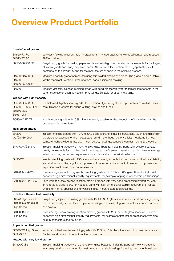### Overview Product Portfolio

| Unreinforced grades                                                        |                                                                                                                                                                                                                                                                                                                   |
|----------------------------------------------------------------------------|-------------------------------------------------------------------------------------------------------------------------------------------------------------------------------------------------------------------------------------------------------------------------------------------------------------------|
| <b>B1520 FC R01</b><br>B1523 FC R01                                        | Very easy-flowing injection-molding grade for thin-walled packaging with food contact and reduced<br>THF emission.                                                                                                                                                                                                |
| B2550/B2550 FC                                                             | Easy-flowing grade for coating paper and board with high heat resistance, for example for packaging<br>of frozen goods and ready-prepared meals. Also suitable for injection-molding applications with<br>demands on the flowability and for the manufacture of fibers in the spinning process.                   |
| B4500/B4500 FC<br><b>B4520</b><br>B4520 FC Aqua®                           | Medium-viscosity grade for manufacturing thin-walled profiles and pipes. The grade is also suitable<br>for the manufacture of industrial functional parts in injection-molding.                                                                                                                                   |
| B4560                                                                      | Medium viscosity injection-molding grade with good processability for technical components in the<br>automotive sector, such as headlamp housings. Suitable for direct metallizing.                                                                                                                               |
| Grades with high viscosity                                                 |                                                                                                                                                                                                                                                                                                                   |
| B6550/B6550 FC<br>B6550 L/B6550 LN<br><b>B6550 LNX</b><br><b>B6551 LNI</b> | Unreinforced, highly viscous grades for extrusion of jacketing of fiber optic cables as well as plates,<br>semi-finished products for shape-cutting, profiles and tubes.                                                                                                                                          |
| <b>B6560M2 FC TF</b>                                                       | Highly viscous grade with 10% mineral content, suitable for the production of films which can be<br>processed via thermoforming.                                                                                                                                                                                  |
| Reinforced grades                                                          |                                                                                                                                                                                                                                                                                                                   |
| <b>B4300</b><br>G2/G4/G6/G10                                               | Injection-molding grades with 10% to 50% glass fibers, for industrial parts, rigid, tough and dimension-<br>ally stable, for example for thermostat parts, small-motor housings for vehicles, headlamp frames,<br>cams, windshield wiper arms, plug-in connectors, housings, consoles, contact mounts and covers. |
| B4040G4/G6/G10                                                             | Injection-molding grades with 10% to 50% glass fibers for industrial parts with excellent surface<br>quality, for example for door handles in vehicles, sunroof frames, oven door handles, toaster casings,<br>exterior mirrors, rear screen wiper arms in vehicles and sunroof wind deflectors.                  |
| B4300C3                                                                    | Injection-molding grade with 15% carbon fiber content, for technical components, durably antistatic,<br>electrically conductive, e.g. for components of measurement and control devices, components in<br>explosion-proof areas, automotive sensors.                                                              |
| S4090G2/G4/G6                                                              | Low-warpage, easy flowing injection-molding grades with 10% to 30% glass fibers for industrial<br>parts with high dimensional stability requirements, for example for plug-in connectors and housings.                                                                                                            |
| S4090GX/G4X/G6X                                                            | Low-warpage, easy-flowing injection-molding grades with very good processing properties, with<br>14% to 30% glass fibers, for industrial parts with high dimensional stability requirements, for ex-<br>ample for internal applications for vehicles, plug-in connectors and housings.                            |
| Grades with excellent flowability                                          |                                                                                                                                                                                                                                                                                                                   |
| B4520 High Speed<br>B4300G2/G3/G4/G6<br><b>High Speed</b>                  | Easy-flowing injection-molding grades with 10% to 30% glass fibers, for industrial parts, rigid, tough<br>and dimensionally stable, for example for housings, consoles, plug-in connectors, contact carriers<br>and covers.                                                                                       |
| S4090G4/G6<br><b>High Speed</b>                                            | Low-warpage, easy-flowing injection-molding grades with 20% or 30% glass fibers for industrial<br>parts with high dimensional stability requirements, for example for internal applications for vehicles,<br>plug-in connectors and housings.                                                                     |
| Impact-modified grades                                                     |                                                                                                                                                                                                                                                                                                                   |
| B4340ZG2 High Speed<br>B4340ZG3                                            | Impact-modified injection-molding grade with 10% or 15% glass fibers and high creep resistance.<br>For technical parts such as automotive connectors.                                                                                                                                                             |
| Grades with very low distortion                                            |                                                                                                                                                                                                                                                                                                                   |
| B4300K4/K6                                                                 | Injection-molding grades with 20% to 30% glass beads for industrial parts with low warpage, for<br>example precision parts for optical instruments, chassis, housings (including gas meter housings).                                                                                                             |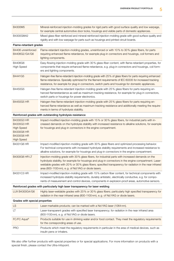| B4300M5                                                                                                                    | Mineral-reinforced injection-molding grades for rigid parts with good surface quality and low warpage,<br>for example central automotive door locks, housings and visible parts of domestic appliances.                                                                                                                                                                        |
|----------------------------------------------------------------------------------------------------------------------------|--------------------------------------------------------------------------------------------------------------------------------------------------------------------------------------------------------------------------------------------------------------------------------------------------------------------------------------------------------------------------------|
| B4300GM42                                                                                                                  | Mixed glass-fiber reinforced and mineral-reinforced injection-molding grade with good surface quality and<br>rigidity and with low warpage for parts such as housings and printed circuit boards.                                                                                                                                                                              |
| Flame-retardant grades                                                                                                     |                                                                                                                                                                                                                                                                                                                                                                                |
| B4406 unreinforced<br>B4406G2/G4/G6                                                                                        | Flame-retardant injection-molding grades, unreinforced or with 10% to 30% glass fibers, for parts<br>requiring enhanced flame-retardance, for example plug-in connectors and housings, coil formers and<br>lighting components.                                                                                                                                                |
| B4406G6<br><b>High Speed</b>                                                                                               | Easy-flowing injection-molding grade with 30% glass-fiber content, with flame-retardant properties, for<br>components that require enhanced flame-retardance, e.g. plug-in connectors and housings, coil form-<br>ers and lighting components.                                                                                                                                 |
| B4441G5                                                                                                                    | Halogen-free flame-retardant injection-molding grade with 25% of glass fibers for parts requiring enhanced<br>flame-retardance. Specially optimized for the filament requirements of IEC 60335 for increased tracking<br>resistance, for example for plug-in connectors, switch parts and housings for domestic appliances.                                                    |
| B4450G5                                                                                                                    | Halogen-free flame-retardant injection-molding grade with 25% glass fibers for parts requiring en-<br>hanced flameretardance as well as maximum tracking resistance, for example for plug-in connectors,<br>switch parts or housings for power electronics.                                                                                                                    |
| <b>B4450G5 HR</b>                                                                                                          | Halogen-free flame-retardant injection-molding grade with 25% glass fibers for parts requiring en-<br>hanced flame-retardance as well as maximum tracking resistance and additionally meeting the require-<br>ments in terms of hydrolysis stability.                                                                                                                          |
|                                                                                                                            | Reinforced grades with outstanding hydrolysis resistance                                                                                                                                                                                                                                                                                                                       |
| <b>B4330G3 HR</b><br><b>B4335G3 HR</b><br><b>High Speed</b><br><b>B4330G6 HR</b><br><b>B4330G6 HR</b><br><b>High Speed</b> | Impact-modified injection-molding grade with 15% or 30% glass fibers, for industrial parts with in-<br>creased demands on the hydrolysis stability with increased resistance to alkaline solutions, for example<br>for housings and plug-in connectors in the engine compartment.                                                                                              |
| B4331G6 HR                                                                                                                 | Impact-modified injection-molding grade with 30% glass fibers and optimized processing behavior.<br>For technical components with increased hydrolysis stability requirements and increased resistance to<br>alkaline solutions, for example for housings and plug-in connectors in the engine compartment.                                                                    |
| <b>B4300G6 HR LT</b>                                                                                                       | Injection-molding grade with 30% glass fibers, for industrial parts with increased demands on the<br>hydrolysis stability, for example for housings and plug-in connectors in the engine compartment. Laser-<br>weldable grades with 20% or 30% glass fibers; specified transparency for radiation in the near infrared<br>area (800-1100 nm), e.g. of Nd:YAG or diode lasers. |
| B4331C3 HR                                                                                                                 | Impact-modified injection-molding grade with 15% carbon fiber content, for technical components with<br>increased hydrolysis-stability requirements, durably antistatic, electrically conductive, e.g. for compo-<br>nents of measurement and control devices, components in explosion-proof areas, automotive sensors.                                                        |
|                                                                                                                            | Reinforced grades with particularly high laser transparency for laser welding                                                                                                                                                                                                                                                                                                  |
| LUX B4300G4/G6                                                                                                             | Highly laser-weldable grades with 20% or 30% glass fibers; particularly high specified transparency for<br>radiation in the near infrared area (800-1100nm), e.g. of Nd:YAG or diode lasers.                                                                                                                                                                                   |
| Grades with special properties                                                                                             |                                                                                                                                                                                                                                                                                                                                                                                |
| <b>LS</b>                                                                                                                  | Laser-markable products; can be marked with a Nd:YAG laser (1064nm).                                                                                                                                                                                                                                                                                                           |
| ப                                                                                                                          | Laser-transparent grades with specified laser transparency; for radiation in the near infrared area<br>(800-1100 nm), e.g. of Nd:YAG or diode lasers.                                                                                                                                                                                                                          |
| FC/FC Aqua <sup>®</sup>                                                                                                    | Products suitable for use in drinking water and/or food contact. They meet the regulatory requirements<br>for the corresponding areas of use.                                                                                                                                                                                                                                  |
| <b>PRO</b>                                                                                                                 | Products which meet the regulatory requirements in particular in the area of medical devices, such as<br>insulin pens or inhalers.                                                                                                                                                                                                                                             |

We also offer further products with special properties or for special applications. For more information on products with a special finish, please contact the Ultra-Infopoint.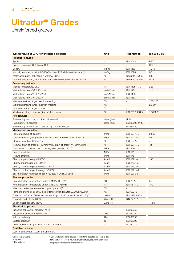Unreinforced grades

1) yellow card available

<sup>4)</sup> Typical values for parts required to withstand repeated exposure to this temperature for several hours over years of use, assuming appropriate shaping and processing for the material.

 $^{2)} +$  = passed  $3) NB = no break$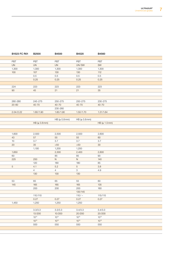| B1523 FC R01    | <b>B2500</b>        | B4500               | B4520               | B4560                      |
|-----------------|---------------------|---------------------|---------------------|----------------------------|
|                 |                     |                     |                     |                            |
| PBT             | PBT                 | PBT                 | PBT                 | PBT                        |
| <b>UN</b>       | <b>UN</b>           | <b>UN</b>           | UN/SW               | SW                         |
| 1,300           | 1,300               | 1,300               | 1,300               | 1,300                      |
| 100             | 107                 | 130                 | 130                 | $112$                      |
|                 | 0.5                 | $0.5\,$             | 0.5                 | 0.5                        |
|                 | 0.25                | 0.25                | 0.25                | 0.25                       |
|                 |                     |                     |                     |                            |
| 224             | 223                 | 223                 | 223                 | 223                        |
| 90              | 45                  | 21                  | 21                  | 35                         |
|                 |                     |                     |                     |                            |
|                 |                     |                     |                     |                            |
| 260-280         | 245-275             | 250-275             | 250-275             | 230-275                    |
| $20 - 60$       | 40-70               | $40 - 70$           | 40-70               | 40-70                      |
|                 |                     | 230-260             |                     |                            |
| 2.04/2.22       | 1.60/1.90           | 1.60/1.90           | 1.50/1.70           | 1.31/1.64                  |
|                 |                     |                     |                     |                            |
|                 |                     | HB (≥ 0.8mm)        | HB (≥ 0.8mm)        |                            |
|                 | HB (≥ 0.8mm)        |                     |                     | $HB \succeq 1.5 \text{mm}$ |
|                 |                     |                     |                     |                            |
|                 |                     |                     |                     |                            |
| 1,600           | 2,500               | 2,500               | 2,500               | 2,600                      |
| 43              | 57                  | 55                  | 55                  | 60                         |
| 10              | 3.7                 | 3.7                 | 3.7                 | 3.7                        |
| 20              | 35                  | $>50$               | $>50$               | 30 <sup>°</sup>            |
|                 | 1,100               | 1,200               | 1,200               |                            |
| 1,650           |                     | 2,300               | 2,400               | 2,600                      |
| 60              |                     | 85                  | 85                  | 90                         |
| 225             | 250                 | N                   | N                   | 140                        |
|                 | 120                 | 180                 | 180                 | 85                         |
| $5\overline{)}$ | 4.1                 | 5.2                 | 5 <sup>5</sup>      | 3.8                        |
|                 | $\overline{4}$      | 4                   | $\mathbf{3}$        | 4.9                        |
|                 | 130                 | 130                 | 130                 |                            |
|                 |                     |                     |                     |                            |
| 53              | 65                  | 65                  | 55                  | 60                         |
| 145             | 165                 | 165                 | 165                 | 135                        |
|                 | 200                 | 200                 | 200                 | 160                        |
|                 |                     |                     | 135/145             |                            |
|                 | 110/110             |                     | $110/-$             | 115/115                    |
|                 | 0.27                | 0.27                | 0.27                | 0.27                       |
| 1,450           | 1,250               | 1,250               | 1,250               |                            |
|                 |                     |                     |                     |                            |
|                 | 3.3/3.3             | 3.3/3.3             | 3.4/3.3             | 3.4/3.3                    |
|                 | 13/200<br>$10^{14}$ | 10/200<br>$10^{14}$ | 20/200<br>$10^{14}$ | 20/200<br>$10^{14}$        |
|                 |                     |                     |                     |                            |
|                 | $10^{13}$           | $10^{13}$           | $10^{13}$           | $10^{13}$                  |
|                 | 500                 | 550                 | 550                 | 550                        |
|                 |                     |                     |                     |                            |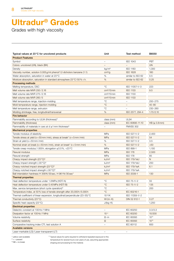Grades with high viscosity

| Typical values at 23°C for uncolored products                                  | Unit                     | Test method              | B6550        |
|--------------------------------------------------------------------------------|--------------------------|--------------------------|--------------|
| <b>Product Features</b>                                                        |                          |                          |              |
| Symbol                                                                         | $\overline{\phantom{m}}$ | <b>ISO 1043</b>          | <b>PBT</b>   |
| Colors: uncolored (UN), black (BK)                                             |                          |                          | <b>UN</b>    |
| Density                                                                        | kg/m <sup>3</sup>        | <b>ISO 1183</b>          | 1,300        |
| Viscosity number, solution 0.005 g/ml phenol/1.2-dicholoro benzene (1:1)       | cm <sup>3</sup> /g       | <b>ISO 1628</b>          | 160          |
| Water absorption, saturation in water at 23 °C                                 | %                        | similar to ISO 62        | 0.5          |
| Moisture absorption, saturation in standard atmosphere 23 °C/50 % r.h.         | %                        | similar to ISO 62        | 0.25         |
| <b>Processing methods</b>                                                      |                          |                          |              |
| Melting temperature, DSC                                                       | $^{\circ}C$              | ISO 11357-1/-3           | 223          |
| Melt volume rate MVR 250/2.16                                                  | cm <sup>3</sup> /10 min  | <b>ISO 1133</b>          | 9.5          |
| Melt volume rate MVR 275/2.16                                                  | cm <sup>3</sup> /10 min  | <b>ISO 1133</b>          |              |
| Melt volume rate MVR 260/5                                                     | cm <sup>3</sup> /10 min  | <b>ISO 1133</b>          |              |
| Melt temperature range, injection-molding                                      | $^{\circ}$ C             | $\overline{\phantom{m}}$ | 250-275      |
| Mold temperature range, injection-molding                                      | $^{\circ}C$              | $-$                      | $40 - 80$    |
| Melt temperature range, extrusion                                              | $^{\circ}$ C             | $\overline{\phantom{m}}$ | 230-260      |
| Molding shrinkage, free, longitudinal/transversal                              | %                        | ISO 2577, 294-4          | 1.70/2.10    |
| <b>Fire behavior</b>                                                           |                          |                          |              |
| Flammability according to UL94 (thickness) <sup>1)</sup>                       | class (mm)               | <b>UL94</b>              |              |
| Flammability (thickness)                                                       |                          | IEC 60695-11-10          | HB (≥ 0.8mm) |
|                                                                                | class (mm)               | <b>FMVSS 302</b>         |              |
| Flammability of materials in cars at $d \ge 1$ mm thickness <sup>2)</sup>      |                          |                          |              |
| <b>Mechanical properties</b><br>Tensile modulus of elasticity                  | MPa                      | ISO 527-1/-2             | 2,400        |
|                                                                                | <b>MPa</b>               | ISO 527-1/-2             | 54           |
| Tensile stress at yield ( $v = 50$ mm/min), stress at break* ( $v = 5$ mm/min) |                          |                          |              |
| Strain at yield (v = 50 mm / min)                                              | %                        | ISO 527-1/-2             | 3.5          |
| Nominal strain at break (v=50mm/min), strain at break* (v=5mm/min)             | %                        | ISO 527-1/-2             | $>50$        |
| Tensile creep modulus, 1.000 h, elongation $\leq$ 0.5%, +23 °C                 | MPa                      | ISO 899-1                | 1,100        |
| Flexural modulus                                                               | <b>MPa</b>               | <b>ISO 178</b>           | 2,500        |
| Flexural strength                                                              | MPa                      | <b>ISO 178</b>           | 85           |
| Charpy impact strength (23°C) <sup>3)</sup>                                    | kJ/m <sup>2</sup>        | <b>ISO 179/1eU</b>       | N            |
| Charpy impact strength (-30 °C) <sup>3)</sup>                                  | kJ/m <sup>2</sup>        | <b>ISO 179/1eU</b>       | 250          |
| Charpy notched impact strength (23 °C) <sup>3)</sup>                           | kJ/m <sup>2</sup>        | <b>ISO 179/1eA</b>       | 6.1          |
| Charpy notched impact strength (-30 °C) <sup>3)</sup>                          | kJ/m <sup>2</sup>        | ISO 179/1eA              |              |
| Ball intendation hardness H 358N/30 sec, H 961N/30 sec*                        | <b>MPa</b>               | ISO 2039-1               | 130          |
| <b>Thermal properties</b>                                                      |                          |                          |              |
| Heat deflection temperature under 1.8 MPa (HDT/A)                              | $^{\circ}$ C             | ISO 75-1/-2              | 55           |
| Heat deflection temperature under 0.45 MPa (HDT/B)                             | $^{\circ}$ C             | ISO 75-1/-2              | 135          |
| Max. service temperature (short cycle operation) <sup>4)</sup>                 | $^{\circ}C$              | $\sim$                   | 200          |
| Temperature index, at 50% loss of tensile strength after 20,000h/5.000h        | $^{\circ}$ C             | IEC 60216-1              |              |
| Thermal coefficient of linear expansion, longitudinal/perpendicular (23-55) °C | $10^{-6}$ /K             | ISO 11359-1/-2           |              |
| Thermal conductivity (23 °C)                                                   | $W/(m \cdot K)$          | DIN 52 612-1             | 0.27         |
| Specific heat capacity (23 °C)                                                 | $J/(kg \cdot K)$         |                          | 1,250        |
| <b>Electrical properties</b>                                                   |                          |                          |              |
| Dielectric constant at 100 Hz/1 MHz                                            | $\overline{\phantom{0}}$ | <b>IEC 60250</b>         | 3.3/3.3      |
| Dissipation factor at 100 Hz/1 MHz                                             | $10^{-4}$                | <b>IEC 60250</b>         | 10/200       |
| Volume resistivity                                                             | $\Omega \cdot m$         | <b>IEC 60093</b>         | $10^{14}$    |
| Surface resistivity                                                            | Ω                        | <b>IEC 60093</b>         | $10^{13}$    |
| Comparative tracking index CTI, test solution A                                | $ \,$                    | IEC 60112                | 600          |
| <b>Available versions</b>                                                      |                          |                          |              |
| Loegr markable (LS) (Loegr transparent (LT)                                    |                          |                          |              |

Laser-markable (LS)/Laser-transparent (LT)

1) yellow card available

<sup>4)</sup> Typical values for parts required to withstand repeated exposure to this temperature for several hours over years of use, assuming appropriate shaping and processing for the material.

 $2^{2}$  + = passed  $3) NB = no break$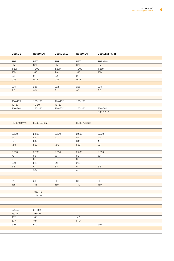| B6550 L      | <b>B6550 LN</b> | <b>B6550 LNX</b> | <b>B6550 LNI</b> | <b>B6560M2 FC TF</b> |
|--------------|-----------------|------------------|------------------|----------------------|
|              |                 |                  |                  |                      |
| PBT          | PBT             | PBT              | PBT              | PBT M10              |
| <b>UN</b>    | UN              | UN               | UN               | <b>UN</b>            |
| 1,300        | 1,300           | 1,300            | 1,300            | 1,360                |
| 160          | 160             | 144              | 180              | 150                  |
| 0.5          | 0.4             | 0.4              | 0.4              |                      |
| 0.25         | 0.25            | 0.25             | 0.25             |                      |
|              |                 |                  |                  |                      |
| 223          | 223             | 222              | 223              | 223                  |
| 9.5          | 9.5             | 8                | 90               | 8.5                  |
|              |                 |                  |                  |                      |
|              |                 |                  |                  |                      |
| 250-275      | 260-270         | 260-270          | 260-270          |                      |
| $40 - 80$    | $40 - 80$       | 40-80            |                  |                      |
| 230-260      | 250-270         | 250-270          | 250-270          | 250-280              |
|              |                 |                  |                  | 2.18 / 2.12          |
|              |                 |                  |                  |                      |
|              |                 |                  |                  |                      |
| HB (≥ 0.8mm) | HB (≥ 0.8mm)    |                  | HB (≥ 1.5mm)     |                      |
|              |                 |                  |                  |                      |
|              |                 |                  |                  |                      |
| 2,500        | 2,600           | 2,600            | 2,600            | 2,000                |
| 55           | 56              | 53               | 55               | 40                   |
| 3.5          | 3.5             | $\mathbf{3}$     | 3.2              | 10                   |
| $>50$        | >50             | >50              | >50              | 33                   |
|              |                 |                  |                  |                      |
| 2,030        | 2,700           | 2,500            | 2,500            | 2,000                |
| 76           | 85              | 80               | 80               | 60                   |
| N            | N               | N                | N                | N                    |
| 220          | 220             | 215              | 280              |                      |
| 5.8          | 5.2             | 3.4              | $6\overline{6}$  | 6.3                  |
|              | 5.3             |                  | $\overline{4}$   |                      |
|              |                 |                  |                  |                      |
|              |                 |                  |                  |                      |
| 55           | 50              | 60               | 60               | 60                   |
| 135          | 135             | 150              | 140              | 150                  |
|              | 135/145         |                  |                  |                      |
|              | 110/110         |                  |                  |                      |
|              |                 |                  |                  |                      |
|              |                 |                  |                  |                      |
|              |                 |                  |                  |                      |
| 3.4/3.2      | 3.4/3.2         |                  |                  |                      |
| 13/221       | 19/219          |                  |                  |                      |
| $10^{14}$    | $10^{14}$       |                  | $>10^{14}$       |                      |
| $10^{13}$    | $10^{13}$       |                  | $>10^{15}$       |                      |
| 600          | 600             |                  |                  | 550                  |
|              |                 |                  |                  |                      |
|              |                 |                  |                  |                      |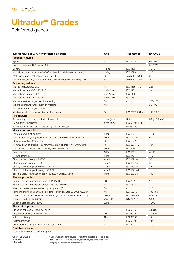Reinforced grades

| Typical values at 23°C for uncolored products                                  | Unit                     | Test method              | B4300G2              |
|--------------------------------------------------------------------------------|--------------------------|--------------------------|----------------------|
| <b>Product Features</b>                                                        |                          |                          |                      |
| Symbol                                                                         | $\overline{\phantom{m}}$ | <b>ISO 1043</b>          | PBT GF10             |
| Colors: uncolored (UN), black (BK)                                             | $\qquad \qquad -$        |                          | UN/SW                |
| Density                                                                        | kg/m <sup>3</sup>        | <b>ISO 1183</b>          | 1,370                |
| Viscosity number, solution 0.005 g/ml phenol/1.2-dicholoro benzene (1:1)       | cm <sup>3</sup> /g       | <b>ISO 1628</b>          | 115                  |
| Water absorption, saturation in water at 23 °C                                 | %                        | similar to ISO 62        | 0.4                  |
| Moisture absorption, saturation in standard atmosphere 23 °C/50 % r.h.         | $\%$                     | similar to ISO 62        | 0.2                  |
| <b>Processing methods</b>                                                      |                          |                          |                      |
| Melting temperature, DSC                                                       | $^{\circ}$ C             | ISO 11357-1/-3           | 223                  |
| Melt volume rate MVR 250/2.16                                                  | $cm3/10$ min             | <b>ISO 1133</b>          | 16                   |
| Melt volume rate MVR 275/2.16                                                  | $cm3/10$ min             | <b>ISO 1133</b>          |                      |
| Melt volume rate MVR 260/5                                                     | $cm3/10$ min             | <b>ISO 1133</b>          |                      |
| Melt temperature range, injection-molding                                      | $^{\circ}$ C             | $\equiv$                 | 250-275              |
| Mold temperature range, injection-molding                                      | $^{\circ}C$              | $\overline{\phantom{m}}$ | $60 - 100$           |
|                                                                                | $^{\circ}C$              | $\equiv$                 |                      |
| Melt temperature range, extrusion                                              | %                        |                          |                      |
| Molding shrinkage, free, longitudinal/transversal                              |                          | ISO 2577, 294-4          | 1.22/1.38            |
| <b>Fire behavior</b>                                                           |                          |                          |                      |
| Flammability according to UL94 (thickness) <sup>1)</sup>                       | class (mm)               | <b>UL94</b>              | $HB \succeq 0.8$ mm) |
| Flammability (thickness)                                                       | class (mm)               | IEC 60695-11-10          |                      |
| Flammability of materials in cars at d ≥1 mm thickness <sup>2)</sup>           | $\equiv$                 | <b>FMVSS 302</b>         |                      |
| <b>Mechanical properties</b>                                                   |                          |                          |                      |
| Tensile modulus of elasticity                                                  | MPa                      | ISO 527-1/-2             | 4,400                |
| Tensile stress at yield (v=50 mm/min), stress at break* (v=5 mm/min)           | MPa                      | ISO 527-1/-2             | $80*$                |
| Strain at yield (v=50mm/min)                                                   | $\%$                     | ISO 527-1/-2             |                      |
| Nominal strain at break (v=50 mm/min), strain at break* (v=5 mm/min)           | $\%$                     | ISO 527-1/-2             | $4.5*$               |
| Tensile creep modulus, 1.000h, elongation ≤0.5%, +23 °C                        | MPa                      | ISO 899-1                |                      |
| Flexural modulus                                                               | <b>MPa</b>               | <b>ISO 178</b>           | 4,100                |
| Flexural strength                                                              | MPa                      | <b>ISO 178</b>           | 140                  |
| Charpy impact strength $(23^{\circ}C)^{3}$                                     | kJ/m <sup>2</sup>        | <b>ISO 179/1eU</b>       | 37                   |
| Charpy impact strength (-30 °C) <sup>3)</sup>                                  | kJ/m <sup>2</sup>        | <b>ISO 179/1eU</b>       | 38                   |
| Charpy notched impact strength (23 °C) <sup>3)</sup>                           | kJ/m <sup>2</sup>        | <b>ISO 179/1eA</b>       | 3.5                  |
| Charpy notched impact strength (-30 °C) <sup>3)</sup>                          | kJ/m <sup>2</sup>        | ISO 179/1eA              |                      |
| Ball intendation hardness H 358N/30 sec, H 961N/30 sec*                        | <b>MPa</b>               | ISO 2039-1               | $160*$               |
| <b>Thermal properties</b>                                                      |                          |                          |                      |
| Heat deflection temperature under 1.8 MPa (HDT/A)                              | $^{\circ}$ C             | ISO 75-1/-2              | 175                  |
|                                                                                | $^{\circ}$ C             | ISO 75-1/-2              | 210                  |
| Heat deflection temperature under 0.45 MPa (HDT/B)                             | $^{\circ}$ C             |                          |                      |
| Max. service temperature (short cycle operation) <sup>4)</sup>                 |                          |                          | 210                  |
| Temperature index, at 50% loss of tensile strength after 20,000h/5.000h        | $^{\circ}$ C             | IEC 60216-1              | 130/150              |
| Thermal coefficient of linear expansion, longitudinal/perpendicular (23-55) °C | $10^{-6}/K$              | ISO 11359-1/-2           | 60/125               |
| Thermal conductivity (23 °C)                                                   | $W/(m \cdot K)$          | DIN 52 612-1             | 0.23                 |
| Specific heat capacity (23 °C)                                                 | $J/(kg \cdot K)$         |                          | 1,200                |
| <b>Electrical properties</b>                                                   |                          |                          |                      |
| Dielectric constant at 100 Hz/1 MHz                                            | $\overline{\phantom{a}}$ | IEC 60250                | 3.6/3.6              |
| Dissipation factor at 100Hz/1 MHz                                              | $10^{-4}$                | <b>IEC 60250</b>         | 12/150               |
| Volume resistivity                                                             | $\Omega \cdot m$         | IEC 60093                | $10^{14}$            |
| Surface resistivity                                                            | $\Omega$                 | <b>IEC 60093</b>         | $10^{13}$            |
| Comparative tracking index CTI, test solution A                                | $\overline{\phantom{0}}$ | IEC 60112                | 300                  |
| <b>Available versions</b>                                                      |                          |                          |                      |
| Laser-markable (LS)/Laser-transparent (LT)                                     | $\equiv$                 | $-$                      |                      |

<sup>4)</sup> Typical values for parts required to withstand repeated exposure to this

 $2^{2}$  + = passed  $3) NB = no break$ 

1) yellow card available

temperature for several hours over years of use, assuming appropriate shaping and processing for the material.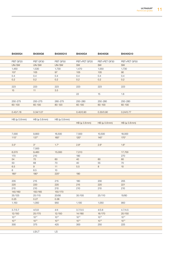| B4300G4       | B4300G6      | B4300G10     | B4040G4      | B4040G6      | B4040G10     |
|---------------|--------------|--------------|--------------|--------------|--------------|
|               |              |              |              |              |              |
| PBT GF20      | PBT GF30     | PBT GF50     | PBT+PET GF20 | PBT+PET GF30 | PBT+PET GF50 |
| UN/SW         | UN/SW        | UN/SW        | SW           | SW           | SW           |
| 1,450         | 1,530        | 1,730        | 1,470        | 1,550        | 1,730        |
| 107           | 105          | 97           | 105          | 105          | 90           |
| 0.4           | 0.4          | 0.4          | 0.4          | 0.4          | 0.4          |
| 0.2           | 0.2          | 0.2          | 0.2          | 0.2          | 0.2          |
|               |              |              |              |              |              |
| 223           | 223          | 223          | 223          | 223          | 223          |
| 15            | 11           | 3.5          |              |              |              |
|               |              |              | 22           | 15           | 1.8          |
|               |              |              |              |              |              |
| 250-275       | 250-275      | 260-275      | 250-280      | 250-280      | 250-280      |
| 60-100        | $60 - 100$   | $80 - 120$   | $60 - 100$   | $60 - 100$   | $60 - 100$   |
|               |              |              |              |              |              |
| 0.43/1.16     | 0.34/1.07    |              | 0.40/0.90    | 0.30/0.90    | 0.24/0.77    |
|               |              |              |              |              |              |
| HB (≥ 0.8mm)  | HB (≥ 0.8mm) | HB (≥ 0.8mm) |              |              |              |
|               |              |              | HB (≥ 0.8mm) | HB (≥ 0.8mm) | HB (≥ 0.8mm) |
|               |              |              |              |              |              |
|               |              |              |              |              |              |
| 7,000         | 9,800        | 16,500       | 7,500        | 10,500       | 18,000       |
| $115*$        | $137*$       | $160*$       | $120*$       | $145*$       | $170*$       |
|               |              |              |              |              |              |
| $3.5*$        | $3^*$        | $1.7*$       | $2.8*$       | $2.6*$       | $1.6*$       |
|               | 7,500        |              |              |              |              |
| 6,570         | 9,460        | 15,000       | 7,010        |              | 17,700       |
| 170           | 210          |              | 190          |              | 270          |
| 54            | 70           | 60           | 40           | 60           | 60           |
| 50            | 68           | 70           | 40           | 55           | 70           |
| 6.5           | 9            | 11           | 5.5          | 8            | 10           |
| 6             | 8.5          | 10           |              |              |              |
| $180^{\star}$ | $190*$       | $220*$       | 190          |              |              |
|               |              |              |              |              |              |
| 205           | 215          | 215          | 180          | 200          | 205          |
| 220           | 220          | 220          | 215          | 220          | 221          |
| 210           | 210          | 210          | 210          | 210          | 210          |
| 140/160       | 150/165      | 150/170      |              |              |              |
| 35/125        | 25/115       | 20/95        | 35/105       | 25/110       | 15/80        |
| 0.25          | 0.27         | 0.36         |              |              |              |
| 1,150         | 1,050        | 950          | 1,100        | 1,050        | 950          |
|               |              |              |              |              |              |
| 3.7/3.7       | 4/3.8        | 4/4          | 3.7/3.5      | 4/3.8        | 4.7/4.5      |
| 12/150        | 25/170       | 12/150       | 14/180       | 16/170       | 20/150       |
| $10^{14}$     | $10^{14}$    | $10^{14}$    | $10^{14}$    | $10^{14}$    | $10^{14}$    |
| $10^{13}$     | $10^{13}$    | $10^{13}$    | $10^{13}$    | $10^{13}$    | $10^{13}$    |
| 300           | 375          | 425          | 300          | 250          | 225          |
|               |              |              |              |              |              |
|               | LS/LT        | LS           |              |              |              |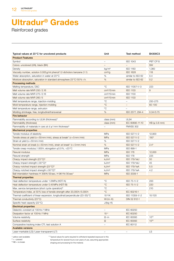Reinforced grades

| Typical values at 23°C for uncolored products                                  | Unit                     | Test method              | B4300C3       |
|--------------------------------------------------------------------------------|--------------------------|--------------------------|---------------|
| <b>Product Features</b>                                                        |                          |                          |               |
| Symbol                                                                         | $\overline{\phantom{m}}$ | <b>ISO 1043</b>          | PBT CF15      |
| Colors: uncolored (UN), black (BK)                                             | $\overline{\phantom{m}}$ |                          | SW            |
| Density                                                                        | kg/m <sup>3</sup>        | <b>ISO 1183</b>          | 1,360         |
| Viscosity number, solution 0.005 g/ml phenol/1.2-dicholoro benzene (1:1)       | cm <sup>3</sup> /g       | <b>ISO 1628</b>          | 118           |
| Water absorption, saturation in water at 23 °C                                 | %                        | similar to ISO 62        | 0.4           |
| Moisture absorption, saturation in standard atmosphere 23 °C/50 % r.h.         | %                        | similar to ISO 62        | 0.2           |
| <b>Processing methods</b>                                                      |                          |                          |               |
| Melting temperature, DSC                                                       | $^{\circ}$ C             | ISO 11357-1/-3           | 223           |
| Melt volume rate MVR 250/2.16                                                  | $cm3/10$ min             | <b>ISO 1133</b>          | 9             |
| Melt volume rate MVR 275/2.16                                                  | $cm3/10$ min             | <b>ISO 1133</b>          |               |
| Melt volume rate MVR 260/5                                                     | $cm3/10$ min             | <b>ISO 1133</b>          |               |
| Melt temperature range, injection-molding                                      | $^{\circ}$ C             | $\overline{\phantom{m}}$ | 250-275       |
| Mold temperature range, injection-molding                                      | $^{\circ}C$              | $\overline{\phantom{m}}$ | $60 - 100$    |
| Melt temperature range, extrusion                                              | $^{\circ}$ C             | $\equiv$                 |               |
| Molding shrinkage, free, longitudinal/transversal                              | %                        | ISO 2577, 294-4          | 0.34/0.75     |
| <b>Fire behavior</b>                                                           |                          |                          |               |
| Flammability according to UL94 (thickness) <sup>1</sup>                        | class (mm)               | <b>UL94</b>              |               |
| Flammability (thickness)                                                       | class (mm)               | IEC 60695-11-10          | HB (≥ 0.8 mm) |
| Flammability of materials in cars at $d \ge 1$ mm thickness <sup>2)</sup>      |                          | <b>FMVSS 302</b>         |               |
| <b>Mechanical properties</b>                                                   |                          |                          |               |
| Tensile modulus of elasticity                                                  | MPa                      | ISO 527-1/-2             | 12,900        |
| Tensile stress at yield ( $v = 50$ mm/min), stress at break* ( $v = 5$ mm/min) | MPa                      | ISO 527-1/-2             | $150*$        |
| Strain at yield (v=50 mm/min)                                                  | %                        | ISO 527-1/-2             |               |
|                                                                                |                          |                          |               |
| Nominal strain at break (v=50 mm/min), strain at break* (v=5 mm/min)           | %                        | ISO 527-1/-2             | $2.4*$        |
| Tensile creep modulus, 1.000 h, elongation $\leq$ 0.5%, +23 °C                 | MPa                      | ISO 899-1                |               |
| Flexural modulus                                                               | MPa                      | <b>ISO 178</b>           | 12,000        |
| Flexural strength                                                              | MPa                      | <b>ISO 178</b>           | 225           |
| Charpy impact strength $(23^{\circ}C)^{3}$                                     | kJ/m <sup>2</sup>        | <b>ISO 179/1eU</b>       | 50            |
| Charpy impact strength (-30 °C) <sup>3)</sup>                                  | kJ/m <sup>2</sup>        | <b>ISO 179/1eU</b>       | 45            |
| Charpy notched impact strength (23 °C) <sup>3)</sup>                           | kJ/m <sup>2</sup>        | <b>ISO 179/1eA</b>       | 5.5           |
| Charpy notched impact strength (-30 °C) <sup>3)</sup>                          | kJ/m <sup>2</sup>        | <b>ISO 179/1eA</b>       | 4.2           |
| Ball intendation hardness H 358N/30 sec, H 961N/30 sec*                        | MPa                      | ISO 2039-1               |               |
| <b>Thermal properties</b>                                                      |                          |                          |               |
| Heat deflection temperature under 1.8 MPa (HDT/A)                              | $^{\circ}$ C             | ISO 75-1/-2              | 200           |
| Heat deflection temperature under 0.45 MPa (HDT/B)                             | $^{\circ}$ C             | ISO 75-1/-2              | 220           |
| Max. service temperature (short cycle operation) <sup>4)</sup>                 | $^{\circ}$ C             |                          | 210           |
| Temperature index, at 50% loss of tensile strength after 20,000h/5.000h        | $^{\circ}C$              | IEC 60216-1              |               |
| Thermal coefficient of linear expansion, longitudinal/perpendicular (23-55) °C | $10^{-6}$ /K             | ISO 11359-1/-2           | 10/120        |
| Thermal conductivity (23 °C)                                                   | $W/(m \cdot K)$          | DIN 52 612-1             |               |
| Specific heat capacity (23 °C)                                                 | $J/(kg \cdot K)$         |                          |               |
| <b>Electrical properties</b>                                                   |                          |                          |               |
| Dielectric constant at 100 Hz/1 MHz                                            | $\overline{\phantom{a}}$ | <b>IEC 60250</b>         |               |
| Dissipation factor at 100Hz/1MHz                                               | $10^{-4}$                | <b>IEC 60250</b>         |               |
| Volume resistivity                                                             | $\Omega \cdot m$         | IEC 60093                | $10^{03}$     |
| Surface resistivity                                                            | $\Omega$                 | <b>IEC 60093</b>         | $10^{05}$     |
| Comparative tracking index CTI, test solution A                                | $\overline{\phantom{0}}$ | IEC 60112                |               |
| <b>Available versions</b>                                                      |                          |                          |               |
| Laser-markable (LS)/Laser-transparent (LT)                                     | $\equiv$                 | $-$                      | LS            |

1) yellow card available

<sup>4)</sup> Typical values for parts required to withstand repeated exposure to this temperature for several hours over years of use, assuming appropriate

 $^{2)} +$  = passed  $3) NB = no break$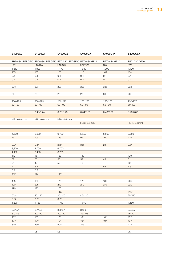|                | S4090G2      | S4090G4                                                         | S4090G6                    | S4090GX      | S4090G4X     | S4090G6X     |
|----------------|--------------|-----------------------------------------------------------------|----------------------------|--------------|--------------|--------------|
|                |              |                                                                 |                            |              |              |              |
|                |              | PBT+ASA+PET GF10 PBT+ASA+PET GF20 PBT+ASA+PET GF30 PBT+ASA GF14 |                            |              | PBT+ASA GF20 | PBT+ASA GF30 |
| SW             |              | UN/SW                                                           | UN/SW                      | UN/SW        | SW           | SW           |
|                | 1,310        | 1,390                                                           | 1,470                      | 1,330        | 1,390        | 1,470        |
| 105            |              | 105                                                             | 105                        | 110          | 104          | 104          |
| 0.4            |              | 0.4                                                             | 0.4                        | 0.4          | 0.4          | 0.4          |
| 0.2            |              | 0.2                                                             | 0.2                        | 0.2          | 0.2          | 0.2          |
|                |              |                                                                 |                            |              |              |              |
| 223            |              | 223                                                             | 223                        | 223          | 223          | 223          |
|                |              |                                                                 |                            |              |              |              |
| 20             |              | 20                                                              | 20                         | 23           | 30           | 20           |
|                |              |                                                                 |                            |              |              |              |
|                | 250-275      | 250-275                                                         | 250-275                    | 250-275      | 250-275      | 250-275      |
|                | 60-100       | 60-100                                                          | $60 - 100$                 | 60-100       | 60-100       | 60-100       |
|                |              |                                                                 |                            |              |              |              |
|                |              | 0.43/0.74                                                       | 0.29/0.75                  | 0.54/0.83    | 0.46/0.91    | 0.29/0.82    |
|                |              |                                                                 |                            |              |              |              |
|                | HB (≥ 0.8mm) | $HB \succeq 0.8 \text{mm}$                                      | $HB \succeq 0.8 \text{mm}$ |              |              |              |
|                |              |                                                                 |                            | HB (≥ 0.8mm) |              | HB (≥ 0.8mm) |
|                |              |                                                                 |                            |              |              |              |
|                |              |                                                                 |                            |              |              |              |
|                | 4,500        | 6,900                                                           | 9,700                      | 5,500        | 6,600        | 9,600        |
| $75*$          |              | $105*$                                                          | $125*$                     | $95*$        | $100*$       | $128*$       |
|                |              |                                                                 |                            |              |              |              |
| $2.9*$         |              | $2.4*$                                                          | $2.2*$                     | $3.2*$       | $2.6*$       | $2.5*$       |
|                | 3,300        | 4,700                                                           | 6,700                      |              |              |              |
|                | 4,100        | 6,400                                                           | 8,700                      |              |              |              |
| 119            |              | 151                                                             | 183                        | 140          |              | 190          |
| 37             |              | 50                                                              | 58                         | 52           | 49           | 61           |
| 24             |              | 40                                                              | 50                         | 43           | $\sim$       | 52           |
| $\overline{4}$ |              | 5.5                                                             | $7\overline{}$             | 7            | 5.5          | 7.5          |
| 3.2            |              | 5.3                                                             |                            |              |              |              |
| $140*$         |              | $153*$                                                          | $164*$                     |              |              |              |
|                |              |                                                                 |                            |              |              |              |
| 105            |              | 160                                                             | 175                        | 170          | 185          | 205          |
| 190            |              | 205                                                             | 210                        | 210          | 210          | 220          |
| 170            |              | 170                                                             | 170                        |              |              |              |
|                |              |                                                                 | $145/-$                    |              |              | $145/-$      |
| $50/-$         |              | 35/110                                                          | 25/105                     | 45/120       |              | 25/115       |
| 0.27           |              | 0.28                                                            | 0.29                       |              |              |              |
|                | 1,200        | 1,150                                                           | 1,100                      | 1,070        |              | 1,150        |
|                |              |                                                                 |                            |              |              |              |
|                | 3.6/3.4      | 3.7/3.6                                                         | 3.8/3.7                    | 3.6/3.4      |              | 3.9/3.7      |
|                | 31/205       | 30/190                                                          | 30/180                     | 39/208       |              | 46/202       |
| $10^{14}$      |              | $10^{14}$                                                       | $10^{14}$                  | $10^{14}$    | $10^{14}$    | $10^{14}$    |
| $10^{14}$      |              | $10^{14}$                                                       | $10^{14}$                  | $10^{14}$    | $10^{14}$    | $10^{14}$    |
|                |              |                                                                 |                            |              |              |              |
| 375            |              | 450                                                             | 500                        | 375          |              | 425          |
|                |              |                                                                 |                            |              |              |              |
|                |              | LS                                                              | LS                         |              |              | LS           |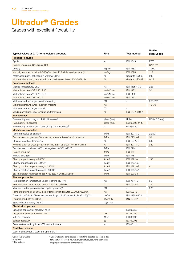Grades with excellent flowability

|                                                                                |                          |                          | B4520             |
|--------------------------------------------------------------------------------|--------------------------|--------------------------|-------------------|
| Typical values at 23°C for uncolored products                                  | Unit                     | Test method              | <b>High Speed</b> |
| <b>Product Features</b>                                                        |                          |                          |                   |
| Symbol                                                                         | $\overline{\phantom{m}}$ | <b>ISO 1043</b>          | PBT               |
| Colors: uncolored (UN), black (BK)                                             |                          |                          | UN/SW             |
| Density                                                                        | kg/m <sup>3</sup>        | <b>ISO 1183</b>          | 1,300             |
| Viscosity number, solution 0.005 g/ml phenol/1.2-dicholoro benzene (1:1)       | cm <sup>3</sup> /g       | <b>ISO 1628</b>          | 115               |
| Water absorption, saturation in water at 23 °C                                 | %                        | similar to ISO 62        | 0.5               |
| Moisture absorption, saturation in standard atmosphere 23°C/50% r.h.           | %                        | similar to ISO 62        | 0.25              |
| <b>Processing methods</b>                                                      |                          |                          |                   |
| Melting temperature, DSC                                                       | $^{\circ}C$              | ISO 11357-1/-3           | 223               |
| Melt volume rate MVR 250/2.16                                                  | cm <sup>3</sup> /10 min  | <b>ISO 1133</b>          | 50                |
| Melt volume rate MVR 275/2.16                                                  | $cm3/10$ min             | <b>ISO 1133</b>          |                   |
| Melt volume rate MVR 260/5                                                     | cm <sup>3</sup> /10 min  | <b>ISO 1133</b>          |                   |
| Melt temperature range, injection-molding                                      | $^{\circ}C$              |                          | 250-275           |
| Mold temperature range, injection-molding                                      | $^{\circ}C$              | $\sim$                   | $40 - 70$         |
| Melt temperature range, extrusion                                              | $^{\circ}$ C             | $\overline{\phantom{a}}$ |                   |
| Molding shrinkage, free, longitudinal/transversal                              | %                        | ISO 2577, 294-4          |                   |
| <b>Fire behavior</b>                                                           |                          |                          |                   |
|                                                                                |                          | <b>UL94</b>              | HB (≥ 0.8mm)      |
| Flammability according to UL94 (thickness) <sup>1)</sup>                       | class (mm)               |                          |                   |
| Flammability (thickness)                                                       | class (mm)               | IEC 60695-11-10          |                   |
| Flammability of materials in cars at $d \ge 1$ mm thickness <sup>2)</sup>      | $\overline{\phantom{m}}$ | <b>FMVSS 302</b>         |                   |
| <b>Mechanical properties</b>                                                   |                          |                          |                   |
| Tensile modulus of elasticity                                                  | MPa                      | ISO 527-1/-2             | 2,200             |
| Tensile stress at yield ( $v = 50$ mm/min), stress at break* ( $v = 5$ mm/min) | <b>MPa</b>               | ISO 527-1/-2             | 53                |
| Strain at yield (v=50mm/min)                                                   | %                        | ISO 527-1/-2             | 3.5               |
| Nominal strain at break (v=50 mm/min), strain at break* (v=5 mm/min)           | %                        | ISO 527-1/-2             | $>50$             |
| Tensile creep modulus, 1.000 h, elongation $\leq$ 0.5%, +23 °C                 | MPa                      | ISO 899-1                |                   |
| Flexural modulus                                                               | <b>MPa</b>               | <b>ISO 178</b>           |                   |
| Flexural strength                                                              | MPa                      | <b>ISO 178</b>           |                   |
| Charpy impact strength (23°C) <sup>3)</sup>                                    | kJ/m <sup>2</sup>        | <b>ISO 179/1eU</b>       | 190               |
| Charpy impact strength (-30 °C) <sup>3)</sup>                                  | kJ/m <sup>2</sup>        | <b>ISO 179/1eU</b>       |                   |
| Charpy notched impact strength (23 °C) <sup>3)</sup>                           | kJ/m <sup>2</sup>        | <b>ISO 179/1eA</b>       | $\overline{4}$    |
| Charpy notched impact strength (-30 °C) <sup>3)</sup>                          | kJ/m <sup>2</sup>        | <b>ISO 179/1eA</b>       |                   |
| Ball intendation hardness H 358N/30 sec, H 961 N/30 sec*                       | <b>MPa</b>               | ISO 2039-1               |                   |
| <b>Thermal properties</b>                                                      |                          |                          |                   |
| Heat deflection temperature under 1.8 MPa (HDT/A)                              | $^{\circ}C$              | ISO 75-1/-2              | 55                |
| Heat deflection temperature under 0.45 MPa (HDT/B)                             | $^{\circ}C$              | ISO 75-1/-2              | 130               |
| Max. service temperature (short cycle operation) <sup>4)</sup>                 | $^{\circ}C$              | $\overline{\phantom{a}}$ | 200               |
| Temperature index, at 50% loss of tensile strength after 20,000h/5.000h        | $^{\circ}C$              | IEC 60216-1              |                   |
| Thermal coefficient of linear expansion, longitudinal/perpendicular (23-55) °C | $10^{-6}/\text{K}$       | ISO 11359-1/-2           |                   |
| Thermal conductivity (23 °C)                                                   | $W/(m \cdot K)$          | DIN 52 612-1             |                   |
| Specific heat capacity (23 °C)                                                 | $J/(kg \cdot K)$         |                          |                   |
| <b>Electrical properties</b>                                                   |                          |                          |                   |
| Dielectric constant at 100 Hz/1 MHz                                            |                          | IEC 60250                |                   |
| Dissipation factor at 100Hz/1 MHz                                              | $10^{-4}$                | IEC 60250                |                   |
| Volume resistivity                                                             | $\Omega \cdot m$         | IEC 60093                |                   |
| Surface resistivity                                                            | $\Omega$                 | <b>IEC 60093</b>         |                   |
| Comparative tracking index CTI, test solution A                                | $\overline{\phantom{m}}$ | IEC 60112                |                   |
| <b>Available versions</b>                                                      |                          |                          |                   |
| Laser-markable (LS)/Laser-transparent (LT)                                     |                          |                          |                   |
|                                                                                |                          |                          |                   |

1) yellow card available

<sup>4)</sup> Typical values for parts required to withstand repeated exposure to this temperature for several hours over years of use, assuming appropriate shaping and processing for the material.

 $2^{2}$  + = passed  $3) NB = no break$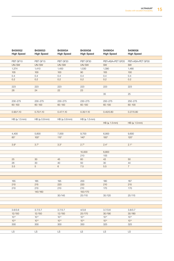| B4300G2<br><b>High Speed</b> | B4300G3<br><b>High Speed</b> | B4300G4<br><b>High Speed</b> | B4300G6<br><b>High Speed</b> | S4090G4<br><b>High Speed</b> | S4090G6<br><b>High Speed</b> |
|------------------------------|------------------------------|------------------------------|------------------------------|------------------------------|------------------------------|
|                              |                              |                              |                              |                              |                              |
| PBT GF10                     | PBT GF15                     | PBT GF20                     | PBT GF30                     | PBT+ASA+PET GF20             | PBT+ASA+PET GF30             |
| UN/SW                        | UN/SW                        | UN/SW                        | UN/SW                        | SW                           | SW                           |
| 1,374                        | 1,410                        | 1,450                        | 1,530                        | 1,390                        | 1,480                        |
| 105                          | 100                          | 100                          | 90                           | 105                          | 100                          |
| 0.4                          | 0.4                          | 0.4                          | 0.4                          | 0.4                          | 0.4                          |
| 0.2                          | 0.2                          | 0.2                          | 0.2                          | 0.2                          | 0.2                          |
|                              |                              |                              |                              |                              |                              |
| 223                          | 223                          | 223                          | 223                          | 223                          | 223                          |
| 28                           | 24                           | 22                           | 23                           |                              |                              |
|                              |                              |                              |                              | 35                           | 25                           |
|                              |                              |                              |                              |                              |                              |
| 230-275                      | 230-275                      | 230-275                      | 230-275                      | 250-275                      | 250-275                      |
| 60-100                       | $60 - 100$                   | 60-100                       | $60 - 100$                   | $60 - 100$                   | $60 - 100$                   |
|                              |                              |                              |                              |                              |                              |
| 0.90/1.10                    | 0.70/1.10                    | 0.47/1.10                    | 0.35/1.10                    | 0.40/0.80                    | 0.27/0.80                    |
|                              |                              |                              |                              |                              |                              |
| $HB \succeq 1.5 \text{mm}$   | HB (≥ 0.8mm)                 | HB (≥ 0.8mm)                 | $HB \succeq 1.5 \text{mm}$   |                              |                              |
|                              |                              |                              |                              | HB (≥ 1.5mm)                 | $HB \succeq 1.5 \text{mm}$   |
|                              |                              |                              |                              |                              |                              |
|                              |                              |                              |                              |                              |                              |
| 4,400                        | 5,600                        | 7,000                        | 9,700                        | 6,900                        | 9,600                        |
| $85*$                        | $100^*$                      | $115*$                       | $140*$                       | $100*$                       | $120*$                       |
|                              |                              |                              |                              |                              |                              |
| $3.9^{\star}$                | $3.7*$                       | $3.3*$                       | $2.7*$                       | $2.4*$                       | $2.1*$                       |
|                              |                              |                              |                              |                              |                              |
|                              |                              |                              | 10,000                       | 6,800                        |                              |
|                              |                              |                              | 210                          | 155                          |                              |
| $25\,$                       | 30 <sup>°</sup>              | 45                           | 60                           | 43                           | 50                           |
| 26                           | 30                           | 40                           | 50                           | 30                           | 44                           |
| 3.5                          | $5\phantom{.0}$              | $6\overline{6}$              | 7.5                          | 5.5                          | 7 <sup>7</sup>               |
|                              |                              |                              |                              |                              |                              |
|                              |                              |                              |                              |                              |                              |
|                              |                              |                              |                              |                              |                              |
| 165                          | 185                          | 195                          | 200                          | 180                          | 187                          |
| 210                          | 215                          | 220                          | 220                          | 210                          | 215                          |
| 210                          | 210                          | 210                          | 210                          | 170                          | 170                          |
|                              | 140/160                      |                              | 150/170                      |                              |                              |
|                              |                              | 30/145                       | 25/110                       | 35/120                       | 25/115                       |
|                              |                              |                              |                              |                              |                              |
|                              |                              |                              |                              |                              |                              |
|                              |                              |                              |                              |                              | 3.8/3.7                      |
| 3.6/3.6                      | 3.7/3.7                      | 3.7/3.7                      | 4/3.8                        | 3.7/3.6                      |                              |
| 12/150                       | 12/150                       | 12/150<br>$10^{14}$          | 25/170                       | 30/190                       | 30/180                       |
| $10^{14}$                    | $10^{14}$<br>$10^{13}$       | $10^{13}$                    | $10^{14}$                    | $10^{14}$<br>$10^{14}$       | $10^{14}$                    |
| $10^{13}$                    |                              |                              | $10^{13}$                    |                              | $10^{14}$                    |
| 300                          | 300                          | 300                          | 350                          | 325                          | 325                          |
|                              |                              |                              |                              |                              |                              |
| LS                           | LS                           | LS                           | $\overline{LS}$              | $\overline{LS}$              | LS                           |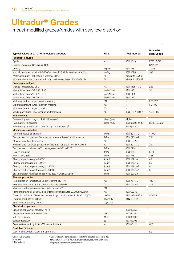Impact-modified grades/grades with very low distortion

|                                                                                |                          |                          | B4340ZG2          |
|--------------------------------------------------------------------------------|--------------------------|--------------------------|-------------------|
| Typical values at 23°C for uncolored products                                  | Unit                     | Test method              | <b>High Speed</b> |
| <b>Product Features</b>                                                        |                          |                          |                   |
| Symbol                                                                         | $\overline{\phantom{m}}$ | <b>ISO 1043</b>          | PBT-I GF10        |
| Colors: uncolored (UN), black (BK)                                             | $\equiv$                 | $\overline{\phantom{m}}$ | UN/SW             |
| Density                                                                        | kg/m <sup>3</sup>        | <b>ISO 1183</b>          | 1,335             |
| Viscosity number, solution 0.005 g/ml phenol/1.2-dicholoro benzene (1:1)       | cm <sup>3</sup> /g       | <b>ISO 1628</b>          | 100               |
| Water absorption, saturation in water at 23 °C                                 | %                        | similar to ISO 62        |                   |
| Moisture absorption, saturation in standard atmosphere 23 °C/50 % r.h.         | $\%$                     | similar to ISO 62        |                   |
| <b>Processing methods</b>                                                      |                          |                          |                   |
| Melting temperature, DSC                                                       | $^{\circ}$ C             | ISO 11357-1/-3           | 223               |
| Melt volume rate MVR 250/2.16                                                  | cm <sup>3</sup> /10 min  | <b>ISO 1133</b>          | 30                |
| Melt volume rate MVR 275/2.16                                                  | cm <sup>3</sup> /10 min  | <b>ISO 1133</b>          |                   |
| Melt volume rate MVR 260/5                                                     | cm <sup>3</sup> /10 min  | <b>ISO 1133</b>          |                   |
| Melt temperature range, injection-molding                                      | $^{\circ}C$              | $-$                      | 250-275           |
| Mold temperature range, injection-molding                                      | $^{\circ}$ C             | $-$                      | $60 - 100$        |
| Melt temperature range, extrusion                                              | $^{\circ}C$              |                          |                   |
| Molding shrinkage, free, longitudinal/transversal                              | %                        | ISO 2577, 294-4          | 1.07/1.05         |
| <b>Fire behavior</b>                                                           |                          |                          |                   |
| Flammability according to UL94 (thickness) <sup>1)</sup>                       | class (mm)               | <b>UL94</b>              |                   |
| Flammability (thickness)                                                       | class (mm)               | IEC 60695-11-10          | HB (≥ 0.8mm)      |
| Flammability of materials in cars at $d \ge 1$ mm thickness <sup>2)</sup>      | $\overline{\phantom{m}}$ | <b>FMVSS 302</b>         |                   |
|                                                                                |                          |                          |                   |
| <b>Mechanical properties</b>                                                   |                          |                          |                   |
| Tensile modulus of elasticity                                                  | MPa                      | ISO 527-1/-2             | 4,100             |
| Tensile stress at yield ( $v = 50$ mm/min), stress at break* ( $v = 5$ mm/min) | <b>MPa</b>               | ISO 527-1/-2             | 79*               |
| Strain at yield (v = 50 mm/min)                                                | %                        | ISO 527-1/-2             |                   |
| Nominal strain at break (v=50mm/min), strain at break* (v=5mm/min)             | $\%$                     | ISO 527-1/-2             | $3.8*$            |
| Tensile creep modulus, 1.000 h, elongation $\leq$ 0.5%, +23 °C                 | MPa                      | ISO 899-1                |                   |
| Flexural modulus                                                               | MPa                      | <b>ISO 178</b>           | 3,700             |
| Flexural strength                                                              | MPa                      | <b>ISO 178</b>           | 128               |
| Charpy impact strength (23 °C) <sup>3)</sup>                                   | kJ/m <sup>2</sup>        | <b>ISO 179/1eU</b>       | 49                |
| Charpy impact strength (-30 °C) <sup>3)</sup>                                  | kJ/m <sup>2</sup>        | <b>ISO 179/1eU</b>       | 30                |
| Charpy notched impact strength (23 °C) <sup>3)</sup>                           | kJ/m <sup>2</sup>        | <b>ISO 179/1eA</b>       | 8                 |
| Charpy notched impact strength $(-30^{\circ}C)^{3}$                            | kJ/m <sup>2</sup>        | ISO 179/1eA              | 5                 |
| Ball intendation hardness H 358N/30 sec, H 961N/30 sec*                        | MPa                      | ISO 2039-1               |                   |
| <b>Thermal properties</b>                                                      |                          |                          |                   |
| Heat deflection temperature under 1.8 MPa (HDT/A)                              | $^{\circ}C$              | ISO 75-1/-2              | 180               |
| Heat deflection temperature under 0.45 MPa (HDT/B)                             | $^{\circ}$ C             | ISO 75-1/-2              | 218               |
| Max. service temperature (short cycle operation) <sup>4)</sup>                 | $^{\circ}C$              | $-$                      |                   |
| Temperature index, at 50% loss of tensile strength after 20,000 h/5.000 h      | $^{\circ}C$              | IEC 60216-1              |                   |
| Thermal coefficient of linear expansion, longitudinal/perpendicular (23-55) °C | $10^{-6}$ /K             | ISO 11359-1/-2           | 55/175            |
| Thermal conductivity (23 °C)                                                   | $W/(m \cdot K)$          | DIN 52 612-1             |                   |
| Specific heat capacity (23 °C)                                                 |                          |                          |                   |
|                                                                                | $J/(kg \cdot K)$         |                          |                   |
| <b>Electrical properties</b>                                                   |                          |                          |                   |
| Dielectric constant at 100 Hz/1 MHz                                            |                          | IEC 60250                |                   |
| Dissipation factor at 100Hz/1MHz                                               | $10^{-4}$                | IEC 60250                |                   |
| Volume resistivity                                                             | $\Omega \cdot m$         | IEC 60093                |                   |
| Surface resistivity                                                            | Ω                        | <b>IEC 60093</b>         |                   |
| Comparative tracking index CTI, test solution A                                | $\overline{\phantom{m}}$ | IEC 60112                | 600               |
| <b>Available versions</b>                                                      |                          |                          |                   |
| Laser-markable (LS)/Laser-transparent (LT)                                     |                          | -                        | <b>LS</b>         |

1) yellow card available

<sup>4)</sup> Typical values for parts required to withstand repeated exposure to this temperature for several hours over years of use, assuming appropriate

 $^{2)} +$  = passed  $3) NB = no break$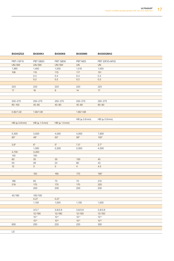| B4340ZG3      | B4300K4                    | B4300K6        | B4300M5            | B4300GM42          |
|---------------|----------------------------|----------------|--------------------|--------------------|
|               |                            |                |                    |                    |
| PBT-I GF15    | PBT GB20                   | PBT GB30       | PBT M25            | PBT (GF20+M10)     |
| UN/SW         | UN/SW                      | UN/SW          | UN                 | UN                 |
| 1,360         | 1,450                      | 1,530          | 1,510              | 1,550              |
| 106           | 115                        | 113            | 117                | 101                |
|               | 0.4                        | 0.4            | 0.4                | 0.4                |
|               | 0.2                        | 0.2            | 0.2                | 0.2                |
|               |                            |                |                    |                    |
| 223           | 223                        | 223            | 223                | 223                |
| 17            | 16                         | 9              | 14                 | 17                 |
|               |                            |                |                    |                    |
|               |                            |                |                    |                    |
| 250-275       | 250-275                    | 250-275        | 250-275            | 250-275            |
| $60 - 100$    | $40 - 80$                  | $40 - 80$      | $40 - 80$          | 60-90              |
|               |                            |                |                    |                    |
| 0.82/1.02     | 1.90/1.90                  |                | 1.80/1.68          |                    |
|               |                            |                |                    |                    |
|               |                            |                | $HB \succeq 0.8mm$ | $HB \succeq 0.8mm$ |
| HB (≥ 0.8mm)  | $HB \succeq 1.5 \text{mm}$ | HB (≥ 1.5mm)   |                    |                    |
|               |                            |                |                    |                    |
|               |                            |                |                    |                    |
| 5,300         | 3,500                      | 4,000          | 4,000              | 7,900              |
| $90^{\star}$  | $48^{\star}$               | $50*$          | $56*$              | $105*$             |
|               |                            |                |                    |                    |
| $3.6^{\star}$ | $6*$                       | $5^*$          | $7.5^*$            | $2.7*$             |
|               | 1,300                      | 2,200          | 2,000              | 4,500              |
| 4,700         | 3,400                      |                |                    |                    |
| 145           | 100                        |                |                    |                    |
| 60            | 35                         | 35             | 100                | 45                 |
| 50            | 26                         | 24             | 80                 | 43                 |
| 12            | $\mathbf{3}$               | 3 <sup>7</sup> | $\overline{4}$     | 4.5                |
| $\sim$        |                            |                |                    |                    |
|               | 150                        | 165            | 170                | $195*$             |
|               |                            |                |                    |                    |
| 186           | 65                         | 75             | 70                 | 210                |
| 219           | 170                        | 175            | 170                | 220                |
|               | 200                        | 200            | 200                | 200                |
|               |                            |                |                    |                    |
| 45/185        | 100/100                    |                |                    |                    |
|               | 0.27                       | 0.27           |                    |                    |
|               | 1,150                      | 1,500          | 1,100              | 1,000              |
|               |                            |                |                    |                    |
|               | 4/3.7                      | 3.8/3.8        | 3.6/3.6            | 3.8/3.8            |
|               | 12/190                     | 12/190         | 12/150             | 12/150             |
|               | $10^{14}$                  | $10^{14}$      | $10^{14}$          | $10^{14}$          |
|               | $10^{13}$                  | $10^{13}$      | $10^{13}$          | $10^{13}$          |
| 600           | 250                        | 225            | 225                | 300                |
|               |                            |                |                    |                    |
| LS            |                            |                |                    |                    |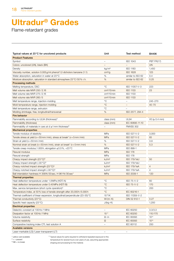Flame-retardant grades

| Typical values at 23°C for uncolored products                                  | Unit                     | Test method              | B4406              |
|--------------------------------------------------------------------------------|--------------------------|--------------------------|--------------------|
| <b>Product Features</b>                                                        |                          |                          |                    |
| Symbol                                                                         | $\overline{\phantom{a}}$ | <b>ISO 1043</b>          | <b>PBT FR(17)</b>  |
| Colors: uncolored (UN), black (BK)                                             | $\overline{\phantom{m}}$ | $\equiv$                 | UN                 |
| Density                                                                        | kg/m <sup>3</sup>        | <b>ISO 1183</b>          | 1,450              |
| Viscosity number, solution 0.005 g/ml phenol/1.2-dicholoro benzene (1:1)       | cm <sup>3</sup> /g       | <b>ISO 1628</b>          | 123                |
| Water absorption, saturation in water at 23 °C                                 | %                        | similar to ISO 62        | 0.4                |
| Moisture absorption, saturation in standard atmosphere 23 °C/50 % r.h.         | %                        | similar to ISO 62        | 0.25               |
| <b>Processing methods</b>                                                      |                          |                          |                    |
| Melting temperature, DSC                                                       | $^{\circ}C$              | ISO 11357-1/-3           | 223                |
| Melt volume rate MVR 250/2.16                                                  | cm <sup>3</sup> /10 min  | <b>ISO 1133</b>          | 23                 |
| Melt volume rate MVR 275/2.16                                                  | $cm3/10$ min             | <b>ISO 1133</b>          |                    |
| Melt volume rate MVR 260/5                                                     | cm <sup>3</sup> /10 min  | <b>ISO 1133</b>          |                    |
| Melt temperature range, injection-molding                                      | $^{\circ}C$              | $-$                      | 245-270            |
| Mold temperature range, injection-molding                                      | $^{\circ}C$              | $ \,$                    | $40 - 70$          |
| Melt temperature range, extrusion                                              | $^{\circ}$ C             | $\overline{\phantom{m}}$ |                    |
| Molding shrinkage, free, longitudinal/transversal                              | %                        | ISO 2577, 294-4          |                    |
| <b>Fire behavior</b>                                                           |                          |                          |                    |
| Flammability according to UL94 (thickness) <sup>1</sup>                        | class (mm)               | <b>UL94</b>              | $VO ( \ge 0.4 mm)$ |
| Flammability (thickness)                                                       | class (mm)               | IEC 60695-11-10          |                    |
| Flammability of materials in cars at $d \ge 1$ mm thickness <sup>2)</sup>      |                          | <b>FMVSS 302</b>         |                    |
| <b>Mechanical properties</b>                                                   |                          |                          |                    |
| Tensile modulus of elasticity                                                  | MPa                      | ISO 527-1/-2             | 3,000              |
| Tensile stress at yield ( $v = 50$ mm/min), stress at break* ( $v = 5$ mm/min) | <b>MPa</b>               | ISO 527-1/-2             | 65                 |
| Strain at yield (v = 50 mm / min)                                              | %                        | ISO 527-1/-2             | 3.9                |
| Nominal strain at break (v=50 mm/min), strain at break* (v=5 mm/min)           | %                        | ISO 527-1/-2             | 5.3                |
| Tensile creep modulus, 1.000 h, elongation $\leq$ 0.5%, +23 °C                 | MPa                      | ISO 899-1                |                    |
| Flexural modulus                                                               | MPa                      | <b>ISO 178</b>           |                    |
| Flexural strength                                                              | MPa                      | <b>ISO 178</b>           |                    |
| Charpy impact strength (23°C) <sup>3)</sup>                                    | kJ/m <sup>2</sup>        | <b>ISO 179/1eU</b>       | 50                 |
| Charpy impact strength (-30 °C) <sup>3)</sup>                                  | kJ/m <sup>2</sup>        | <b>ISO 179/1eU</b>       |                    |
| Charpy notched impact strength (23 °C) <sup>3)</sup>                           | kJ/m <sup>2</sup>        | <b>ISO 179/1eA</b>       | $\overline{4}$     |
| Charpy notched impact strength (-30 °C) <sup>3)</sup>                          | kJ/m <sup>2</sup>        | ISO 179/1eA              | $\overline{4}$     |
| Ball intendation hardness H 358N/30 sec, H 961N/30 sec*                        | MPa                      | ISO 2039-1               | 120                |
| <b>Thermal properties</b>                                                      |                          |                          |                    |
| Heat deflection temperature under 1.8 MPa (HDT/A)                              | $^{\circ}$ C             | ISO 75-1/-2              | 60                 |
| Heat deflection temperature under 0.45 MPa (HDT/B)                             | $^{\circ}C$              | ISO 75-1/-2              | 170                |
| Max. service temperature (short cycle operation) <sup>4)</sup>                 | $^{\circ}C$              | $\overline{\phantom{a}}$ | 200                |
| Temperature index, at 50% loss of tensile strength after 20,000h/5.000h        | $^{\circ}C$              | IEC 60216-1              |                    |
| Thermal coefficient of linear expansion, longitudinal/perpendicular (23-55) °C | $10^{-6}$ /K             | ISO 11359-1/-2           |                    |
| Thermal conductivity (23 °C)                                                   | $W/(m \cdot K)$          | DIN 52 612-1             | 0.27               |
| Specific heat capacity (23 °C)                                                 | $J/(kg \cdot K)$         |                          | 1,200              |
| <b>Electrical properties</b>                                                   |                          |                          |                    |
| Dielectric constant at 100 Hz/1 MHz                                            |                          | IEC 60250                | 3.3/3.3            |
|                                                                                | $10^{-4}$                | IEC 60250                | 110/170            |
| Dissipation factor at 100 Hz/1 MHz                                             |                          |                          | $10^{14}$          |
| Volume resistivity                                                             | $\Omega \cdot m$         | <b>IEC 60093</b>         |                    |
| Surface resistivity                                                            | $\Omega$                 | IEC 60093                | $10^{13}$          |
| Comparative tracking index CTI, test solution A                                | $\overline{\phantom{m}}$ | IEC 60112                | 250                |
| <b>Available versions</b>                                                      |                          |                          |                    |
| Laser-markable (LS)/Laser-transparent (LT)                                     |                          | $\overline{\phantom{m}}$ |                    |

<sup>4)</sup> Typical values for parts required to withstand repeated exposure to this temperature for several hours over years of use, assuming appropriate

 $2^{2}$  + = passed  $3) NB = no break$ 

1) yellow card available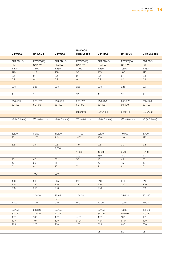|                         |                     |                 | B4406G6             |                     |                |                    |
|-------------------------|---------------------|-----------------|---------------------|---------------------|----------------|--------------------|
| B4406G2                 | B4406G4             | B4406G6         | <b>High Speed</b>   | B4441G5             | B4450G5        | B4450G5 HR         |
|                         |                     |                 |                     |                     |                |                    |
| PBT FR(17)<br><b>UN</b> | PBT FR(17)<br>UN/SW | PBT FR(17)      | PBT FR(17)<br>UN/SW | PBT FR(40)<br>UN/SW | PBT FR(5x)     | PBT FR(5x)<br>SW   |
| 1,520                   | 1,600               | UN/SW           |                     |                     | UN/SW<br>1,600 | 1,580              |
|                         |                     | 1,650           | 1,700<br>90         | 1,530               |                |                    |
| 120                     | 116                 | 108             |                     | 105                 | 100            | 110                |
| 0.4                     | 0.4<br>0.2          | 0.4             | 0.4<br>0.2          | 0.4                 | 0.4<br>0.2     | 0.4<br>0.2         |
| 0.2                     |                     | 0.2             |                     | 0.2                 |                |                    |
| 223                     | 223                 | 223             | 223                 | 223                 | 223            | 223                |
|                         |                     |                 |                     |                     |                |                    |
| 15                      | 11                  | 8               | 12                  | 15                  | 17             | 10                 |
|                         |                     |                 |                     |                     |                |                    |
| 250-275                 | 250-275             | 250-275         | 250-280             | 260-280             | 250-280        | 250-270            |
| $60 - 100$              | 60-100              | $60 - 100$      | $60 - 100$          | $60 - 100$          | $60 - 100$     | $60 - 100$         |
|                         |                     |                 |                     |                     |                |                    |
|                         |                     |                 | 0.30/1.10           | 0.44/1.24           | 0.50/1.30      | 0.50/1.30          |
|                         |                     |                 |                     |                     |                |                    |
| $VO ( \ge 0.4 mm)$      | VO (≥ 0.4 mm)       | VO (≥ 0.4 mm)   | VO (≥ 0.4 mm)       | $VO ( \ge 0.4 mm)$  | VO (≥ 0.4 mm)  | $VO ( \ge 0.4 mm)$ |
|                         |                     |                 |                     |                     |                |                    |
|                         |                     |                 |                     |                     |                |                    |
|                         |                     |                 |                     |                     |                |                    |
| 5,500                   | 8,200               | 11,300          | 11,700              | 9,800               | 10,000         | 8,700              |
| $95^{\star}$            | $125*$              | $145*$          | $140*$              | $100^*$             | $110*$         | $120*$             |
|                         |                     |                 |                     |                     |                |                    |
| $3.3*$                  | $2.6^{\star}$       | $2.3*$          | $1.9*$              | $2.3*$              | $2.2*$         | $2.6*$             |
|                         |                     | 7,500           |                     |                     |                |                    |
|                         |                     |                 | 11,300              | 10,000              | 9,700          | 8,700              |
|                         |                     |                 | 200                 | 180                 | 180            | 210                |
| 40                      | 48                  | 60              | 50                  | 45                  | 45             | 50                 |
| 40                      | 50                  | 55              |                     | 47                  | 45             | 40                 |
| 5 <sup>5</sup>          | 8                   | 10 <sup>1</sup> | $7^{\circ}$         | $7\overline{ }$     | 6              | $6\,$              |
|                         |                     |                 |                     |                     |                |                    |
|                         | $190*$              | $220*$          |                     |                     |                |                    |
|                         |                     |                 |                     |                     |                |                    |
| 190                     | 200                 | 205             | 205                 | 210                 | 210            | 210                |
| 215                     | 220                 | 220             | 220                 | 220                 | 220            | 220                |
| 210                     | 210                 | 210             |                     | 210                 |                | 210                |
|                         |                     |                 |                     |                     |                |                    |
|                         | 30/100              | 25/95           | 20/100              |                     | 35/120         | 30/160             |
|                         |                     | 0.32            |                     |                     |                |                    |
| 1,100                   | 1,000               | 900             | 900                 | 1,000               | 1,000          | 1,000              |
|                         |                     |                 |                     |                     |                |                    |
| 3.5/3.5                 | 3.8/3.6             | 3.9/3.9         |                     | 3.7/3.6             | 4/3.8          | 4.1/3.9            |
| 80/150                  | 70/170              | 20/150          |                     | 35/137              | 40/140         | 90/150             |
| $10^{14}$               | $10^{14}$           | $10^{14}$       | $>10^{15}$          | $10^{14}$           | $10^{14}$      | $10^{14}$          |
| $10^{13}$               | $10^{13}$           | $10^{13}$       | $>10^{15}$          | $>10^{16}$          | $>10^{16}$     | $10^{15}$          |
| 225                     | 200                 | 200             | 175                 | 525                 | 600            | 600                |
|                         |                     |                 |                     |                     |                |                    |
|                         |                     |                 |                     | LS                  | LS             | LS                 |
|                         |                     |                 |                     |                     |                |                    |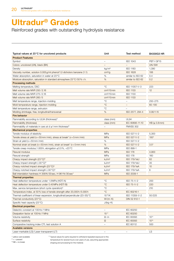Reinforced grades with outstanding hydrolysis resistance

| Typical values at 23°C for uncolored products                                  | Unit                     | Test method              | B4330G3 HR           |
|--------------------------------------------------------------------------------|--------------------------|--------------------------|----------------------|
| <b>Product Features</b>                                                        |                          |                          |                      |
| Symbol                                                                         |                          | <b>ISO 1043</b>          | PBT-I GF15           |
| Colors: uncolored (UN), black (BK)                                             | $-$                      | $\sim$                   | UN/SW                |
| Density                                                                        | kg/m <sup>3</sup>        | <b>ISO 1183</b>          | 1,390                |
| Viscosity number, solution 0.005 g/ml phenol/1.2-dicholoro benzene (1:1)       | cm <sup>3</sup> /g       | <b>ISO 1628</b>          | 106                  |
| Water absorption, saturation in water at 23 °C                                 | $\%$                     | similar to ISO 62        | 0.4                  |
| Moisture absorption, saturation in standard atmosphere 23 °C/50 % r.h.         | %                        | similar to ISO 62        | 0.2                  |
| <b>Processing methods</b>                                                      |                          |                          |                      |
| Melting temperature, DSC                                                       | $^{\circ}C$              | ISO 11357-1/-3           | 223                  |
| Melt volume rate MVR 250/2.16                                                  | $cm3/10$ min             | <b>ISO 1133</b>          | 12                   |
| Melt volume rate MVR 275/2.16                                                  | $cm3/10$ min             | <b>ISO 1133</b>          |                      |
| Melt volume rate MVR 260/5                                                     | $cm3/10$ min             | <b>ISO 1133</b>          |                      |
| Melt temperature range, injection-molding                                      | $^{\circ}C$              | $\equiv$                 | 250-275              |
| Mold temperature range, injection-molding                                      | $^{\circ}C$              | $\overline{\phantom{m}}$ | $60 - 100$           |
| Melt temperature range, extrusion                                              | $^{\circ}C$              |                          |                      |
|                                                                                | %                        | ISO 2577, 294-4          | 0.90/1.15            |
| Molding shrinkage, free, longitudinal/transversal                              |                          |                          |                      |
| <b>Fire behavior</b>                                                           |                          |                          |                      |
| Flammability according to UL94 (thickness) <sup>1)</sup>                       | class (mm)               | <b>UL94</b>              |                      |
| Flammability (thickness)                                                       | class (mm)               | IEC 60695-11-10          | $HB \approx 0.8$ mm) |
| Flammability of materials in cars at $d \ge 1$ mm thickness <sup>2)</sup>      |                          | <b>FMVSS 302</b>         |                      |
| <b>Mechanical properties</b>                                                   |                          |                          |                      |
| Tensile modulus of elasticity                                                  | MPa                      | ISO 527-1/-2             | 5,300                |
| Tensile stress at yield ( $v = 50$ mm/min), stress at break* ( $v = 5$ mm/min) | MPa                      | ISO 527-1/-2             | $100*$               |
| Strain at yield $(v = 50$ mm/min)                                              | %                        | ISO 527-1/-2             |                      |
| Nominal strain at break (v=50 mm/min), strain at break* (v=5 mm/min)           | %                        | ISO 527-1/-2             | $3.5*$               |
| Tensile creep modulus, 1.000 h, elongation $\leq 0.5\%$ , +23 °C               | MPa                      | ISO 899-1                |                      |
| Flexural modulus                                                               | <b>MPa</b>               | <b>ISO 178</b>           | 4,900                |
| Flexural strength                                                              | MPa                      | <b>ISO 178</b>           | 160                  |
| Charpy impact strength (23°C) <sup>3)</sup>                                    | kJ/m <sup>2</sup>        | <b>ISO 179/1eU</b>       | 62                   |
| Charpy impact strength $(-30^{\circ}C)^{3}$                                    | kJ/m <sup>2</sup>        | <b>ISO 179/1eU</b>       | 35                   |
| Charpy notched impact strength $(23^{\circ}C)^{3}$                             | kJ/m <sup>2</sup>        | <b>ISO 179/1eA</b>       | 10 <sup>1</sup>      |
| Charpy notched impact strength (-30 °C) <sup>3)</sup>                          | kJ/m <sup>2</sup>        | <b>ISO 179/1eA</b>       | 6                    |
| Ball intendation hardness H 358N/30 sec, H 961N/30 sec*                        | MPa                      | ISO 2039-1               |                      |
| <b>Thermal properties</b>                                                      |                          |                          |                      |
| Heat deflection temperature under 1.8 MPa (HDT/A)                              | $^{\circ}C$              | ISO 75-1/-2              | 200                  |
| Heat deflection temperature under 0.45 MPa (HDT/B)                             | $^{\circ}C$              | ISO 75-1/-2              | 220                  |
| Max. service temperature (short cycle operation) <sup>4)</sup>                 | $^{\circ}C$              | $\overline{\phantom{m}}$ | 210                  |
| Temperature index, at 50% loss of tensile strength after 20,000h/5.000h        | $^{\circ}C$              | IEC 60216-1              |                      |
| Thermal coefficient of linear expansion, longitudinal/perpendicular (23-55) °C | $10^{-6}$ /K             | ISO 11359-1/-2           | 50/225               |
| Thermal conductivity (23 °C)                                                   | $W/(m \cdot K)$          | DIN 52 612-1             |                      |
| Specific heat capacity (23 °C)                                                 | $J/(kg \cdot K)$         |                          |                      |
| <b>Electrical properties</b>                                                   |                          |                          |                      |
| Dielectric constant at 100 Hz/1 MHz                                            | $\overline{\phantom{m}}$ | IEC 60250                |                      |
| Dissipation factor at 100 Hz/1 MHz                                             | $10^{-4}$                | <b>IEC 60250</b>         |                      |
| Volume resistivity                                                             | $\Omega \cdot m$         | <b>IEC 60093</b>         | $10^{14}$            |
| Surface resistivity                                                            |                          | <b>IEC 60093</b>         | $10^{15}$            |
|                                                                                | $\Omega$                 |                          |                      |
| Comparative tracking index CTI, test solution A                                | $\overline{\phantom{a}}$ | IEC 60112                | 500                  |
| <b>Available versions</b>                                                      |                          |                          |                      |
| Laser-markable (LS)/Laser-transparent (LT)                                     | $\overline{\phantom{m}}$ | $\sim$                   | <b>LS</b>            |

1) yellow card available

<sup>4)</sup> Typical values for parts required to withstand repeated exposure to this temperature for several hours over years of use, assuming appropriate

 $^{2)} +$  = passed  $3) NB = no break$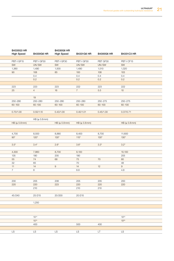| B4335G3 HR<br><b>High Speed</b> | B4330G6 HR   | B4330G6 HR<br><b>High Speed</b> | B4331G6 HR    | B4300G6 HR | B4331C3 HR   |
|---------------------------------|--------------|---------------------------------|---------------|------------|--------------|
|                                 |              |                                 |               |            |              |
| PBT-I GF15                      | PBT-I GF30   | PBT-I GF30                      | PBT-I GF30    | PBT GF30   | PBT-I CF15   |
| SW                              | UN/SW        | SW                              | UN/SW         | UN/SW      | SW           |
| 1,360                           | 1,490        | 1,500                           | 1,490         | 1,510      | 1,320        |
| 90                              | 108          | 85                              | 100           | 108        | 103          |
|                                 | 0.4          |                                 | 0.4           | 0.4        | 0.4          |
|                                 | 0.2          |                                 | 0.2           | 0.2        | 0.2          |
|                                 |              |                                 |               |            |              |
| 223                             | 223          | 223                             | 222           | 223        | 222          |
| 25                              | 4            | 16                              | $7^{\circ}$   | 5.5        | 10           |
|                                 |              |                                 |               |            |              |
|                                 | 19           |                                 |               |            |              |
| 250-280                         | 250-280      | 250-280                         | 250-280       | 250-275    | 250-275      |
| $60 - 100$                      | $60 - 100$   | $60 - 100$                      | $60 - 100$    | $60 - 100$ | $60 - 100$   |
|                                 |              |                                 |               |            |              |
| 0.70/1.00                       | 0.50/1.10    | 0.43/1.00                       | 0.40/1.01     | 0.45/1.30  | 0.37/0.71    |
|                                 |              |                                 |               |            |              |
|                                 | HB (≥ 0.8mm) |                                 |               |            |              |
| HB (≥ 0.8mm)                    |              | HB (≥ 0.8mm)                    | HB (≥ 0.8mm)  |            | HB (≥ 0.8mm) |
|                                 |              |                                 |               |            |              |
|                                 |              |                                 |               |            |              |
| 4,700                           | 8,500        | 8,880                           | 8,400         | 8,700      | 11,600       |
| $90^{\star}$                    | $120*$       | $130*$                          | $115*$        | $130*$     | $130*$       |
|                                 |              |                                 |               |            |              |
| $3.5^{\star}$                   | $3.4*$       | $2.6*$                          | $3.6^{\star}$ | $3.3*$     | $3.2*$       |
|                                 |              |                                 |               |            |              |
| 4,300                           | 7,860        | 8,700                           | 8,100         |            | 10,100       |
| 135                             | 190          | 205                             | 190           |            | 205          |
| 55                              | 74           | 68                              | 75            | 70         | 60           |
| $32\,$                          | 65           |                                 | 70            |            | 48           |
| 11                              | 14           | $9\,$                           | 14            | 12         | 9            |
| $7^{\circ}$                     | 8            |                                 | $8.8\,$       |            | 4.8          |
|                                 |              |                                 |               |            |              |
|                                 |              |                                 |               |            |              |
| 200                             | 205          | 208                             | 205           | 205        | 200          |
| 220                             | 220          | 223                             | 220           | 220        | 220          |
|                                 | 210          |                                 | 210           | 210        |              |
|                                 |              |                                 |               |            |              |
| 45/240                          | 25/215       | 20/200                          | 20/215        |            |              |
|                                 |              |                                 |               |            |              |
|                                 | 1,250        |                                 |               |            |              |
|                                 |              |                                 |               |            |              |
|                                 |              |                                 |               |            |              |
|                                 |              |                                 |               |            |              |
|                                 | $10^{14}$    |                                 |               |            | $10^{03}$    |
|                                 |              |                                 |               |            |              |
|                                 | $10^{15}$    |                                 |               |            | $10^{05}$    |
|                                 | 400          |                                 | 500           | 400        |              |
| <b>LS</b>                       | LS           | LS                              | LS            | LT.        | <b>LS</b>    |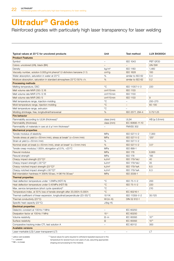Reinforced grades with particularly high laser transparency for laser welding

| Typical values at 23 °C for uncolored products                                 | Unit               | Test method              | <b>LUX B4300G4</b>   |
|--------------------------------------------------------------------------------|--------------------|--------------------------|----------------------|
| <b>Product Features</b>                                                        |                    |                          |                      |
| Symbol                                                                         |                    | <b>ISO 1043</b>          | PBT GF20             |
| Colors: uncolored (UN), black (BK)                                             | $\qquad \qquad -$  | $\overline{\phantom{0}}$ | UN/SW                |
| Density                                                                        | kg/m <sup>3</sup>  | <b>ISO 1183</b>          | 1,460                |
| Viscosity number, solution 0.005 g/ml phenol/1.2-dicholoro benzene (1:1)       | cm <sup>3</sup> /g | <b>ISO 1628</b>          | 100                  |
| Water absorption, saturation in water at 23 °C                                 | %                  | similar to ISO 62        | 0.4                  |
| Moisture absorption, saturation in standard atmosphere $23^{\circ}$ C/50% r.h. | %                  | similar to ISO 62        | 0.2                  |
| <b>Processing methods</b>                                                      |                    |                          |                      |
| Melting temperature, DSC                                                       | $^{\circ}C$        | ISO 11357-1/-3           | 220                  |
| Melt volume rate MVR 250/2.16                                                  | $cm3/10$ min       | <b>ISO 1133</b>          |                      |
| Melt volume rate MVR 275/2.16                                                  | $cm3/10$ min       | <b>ISO 1133</b>          |                      |
| Melt volume rate MVR 260/5                                                     | $cm3/10$ min       | <b>ISO 1133</b>          | 9                    |
| Melt temperature range, injection-molding                                      | $^{\circ}C$        | $\overline{\phantom{m}}$ | 250-270              |
| Mold temperature range, injection-molding                                      | $^{\circ}C$        | $\equiv$                 | $60 - 100$           |
| Melt temperature range, extrusion                                              | °C                 | $\qquad \qquad -$        |                      |
| Molding shrinkage, free, longitudinal/transversal                              | $\%$               | ISO 2577, 294-4          | 0.75/1.25            |
| <b>Fire behavior</b>                                                           |                    |                          |                      |
| Flammability according to UL94 (thickness) <sup>1)</sup>                       | class (mm)         | <b>UL94</b>              | $HB \succeq 0.8$ mm) |
| Flammability (thickness)                                                       | class (mm)         | IEC 60695-11-10          |                      |
| Flammability of materials in cars at $d \ge 1$ mm thickness <sup>2)</sup>      |                    | <b>FMVSS 302</b>         |                      |
| <b>Mechanical properties</b>                                                   |                    |                          |                      |
| Tensile modulus of elasticity                                                  | MPa                | ISO 527-1/-2             | 7,300                |
| Tensile stress at yield ( $v = 50$ mm/min), stress at break* ( $v = 5$ mm/min) | <b>MPa</b>         | ISO 527-1/-2             | $125*$               |
| Strain at yield ( $v = 50$ mm/min)                                             | %                  | ISO 527-1/-2             |                      |
| Nominal strain at break ( $v = 50$ mm/min), strain at break* ( $v = 5$ mm/min) | %                  | ISO 527-1/-2             | $3.5*$               |
| Tensile creep modulus, 1.000 h, elongation $\leq$ 0.5%, +23 °C                 | MPa                | ISO 899-1                |                      |
| Flexural modulus                                                               | <b>MPa</b>         | <b>ISO 178</b>           | 6,800                |
| Flexural strength                                                              | MPa                | <b>ISO 178</b>           | 195                  |
| Charpy impact strength (23 °C) <sup>3)</sup>                                   | kJ/m <sup>2</sup>  | <b>ISO 179/1eU</b>       | 40                   |
| Charpy impact strength $(-30^{\circ}C)^{3}$                                    | kJ/m <sup>2</sup>  | <b>ISO 179/1eU</b>       | 35                   |
| Charpy notched impact strength (23 °C) <sup>3)</sup>                           | kJ/m <sup>2</sup>  | <b>ISO 179/1eA</b>       | 6.5                  |
| Charpy notched impact strength (-30 °C) <sup>3)</sup>                          | kJ/m <sup>2</sup>  | <b>ISO 179/1eA</b>       | 6.3                  |
| Ball intendation hardness H 358N/30 sec, H 961N/30 sec*                        | <b>MPa</b>         | ISO 2039-1               |                      |
| <b>Thermal properties</b>                                                      |                    |                          |                      |
| Heat deflection temperature under 1.8 MPa (HDT/A)                              | $^{\circ}C$        | ISO 75-1/-2              | 200                  |
| Heat deflection temperature under 0.45 MPa (HDT/B)                             | $^{\circ}C$        | ISO 75-1/-2              | 220                  |
| Max. service temperature (short cycle operation) <sup>4)</sup>                 | $^{\circ}C$        | $\overline{\phantom{0}}$ | 210                  |
| Temperature index, at 50% loss of tensile strength after 20,000 h/5.000 h      | $^{\circ}C$        | IEC 60216-1              |                      |
| Thermal coefficient of linear expansion, longitudinal/perpendicular (23-55) °C | $10^{-6}$ /K       | ISO 11359-1/-2           | 35/125               |
| Thermal conductivity (23 °C)                                                   | $W/(m \cdot K)$    | DIN 52 612-1             |                      |
| Specific heat capacity (23 °C)                                                 | $J/(kg \cdot K)$   |                          |                      |
| <b>Electrical properties</b>                                                   |                    |                          |                      |
| Dielectric constant at 100 Hz/1 MHz                                            | $\qquad \qquad -$  | IEC 60250                |                      |
| Dissipation factor at 100 Hz/1 MHz                                             | $10^{-4}$          | <b>IEC 60250</b>         |                      |
| Volume resistivity                                                             | $\Omega \cdot m$   | IEC 60093                | $10^{14}$            |
| Surface resistivity                                                            | Ω                  | <b>IEC 60093</b>         | $10^{15}$            |
| Comparative tracking index CTI, test solution A                                |                    | IEC 60112                | 300                  |
| <b>Available versions</b>                                                      |                    |                          |                      |
| Laser-markable (LS)/Laser-transparent (LT)                                     |                    | $\overline{\phantom{a}}$ | LT                   |
|                                                                                |                    |                          |                      |

1) yellow card available

<sup>4)</sup> Typical values for parts required to withstand repeated exposure to this temperature for several hours over years of use, assuming appropriate

 $^{2)} +$  = passed  $3) NB = no break$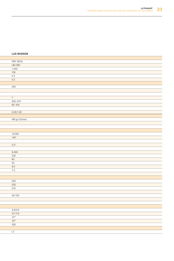#### Typical values at 23°C for uncolored products Unit Test method LUX B4300G4 LUX B4300G6

| PBT GF30         |  |
|------------------|--|
| UN/SW            |  |
| 1,540            |  |
| 105              |  |
| 0.4              |  |
| 0.2              |  |
|                  |  |
| 220              |  |
|                  |  |
|                  |  |
| 7                |  |
| 250-270          |  |
| $60 - 100$       |  |
|                  |  |
| 0.55/1.20        |  |
|                  |  |
| HB (≥ 0.8mm)     |  |
|                  |  |
|                  |  |
|                  |  |
| 10,000<br>$145*$ |  |
|                  |  |
|                  |  |
| $3.2*$           |  |
|                  |  |
| 9,300<br>235     |  |
| 65               |  |
| 45               |  |
| 8.5              |  |
| 7.5              |  |
|                  |  |
|                  |  |
| 205              |  |
| 220              |  |
| 210              |  |
|                  |  |
| 25/125           |  |
|                  |  |
|                  |  |
|                  |  |
| 3.8/3.6          |  |
| 27/170           |  |
| $10^{14}$        |  |
| $10^{15}$        |  |
| 300              |  |
|                  |  |
| LT               |  |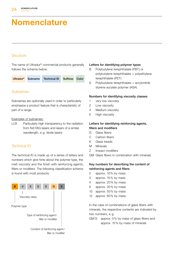### Nomenclature

#### **Structure**

The name of Ultradur® commercial products generally follows the scheme below:

| <b>Suffixes</b> Color<br>Technical ID<br><b>Ultradur<sup>®</sup></b><br>Subname |  |  |  |  |  |  |
|---------------------------------------------------------------------------------|--|--|--|--|--|--|
|---------------------------------------------------------------------------------|--|--|--|--|--|--|

#### **Subnames**

Subnames are optionally used in order to particularly emphasize a product feature that is characteristic of part of a range.

#### Examples of subnames:

LUX Particularly high transparency to the radiation from Nd:YAG lasers and lasers of a similar wavelength, e.g. diode lasers

#### Technical ID

The technical ID is made up of a series of letters and numbers which give hints about the polymer type, the melt viscosity and the finish with reinforcing agents, fillers or modifiers. The following classification scheme is found with most products:



#### Letters for identifying polymer types

- B Polybutylene terephthalate (PBT) or polybutylene terephthalate + polyethylene terephthalate (PET)
- S Polybutylene terephthalate + acrylonitrile styrene acrylate polymer (ASA)

#### Numbers for identifying viscosity classes

- 1 very low viscosity
- 2 Low viscosity
- 4 Medium viscosity
- 6 High viscosity

#### Letters for identifying reinforcing agents, fillers and modifiers

- G Glass fibers
- C Carbon fibers
- K Glass beads
- M Minerals
- Z Impact modifiers

GM Glass fibers in combination with minerals

#### Key numbers for describing the content of reinforcing agents and fillers

- 2 approx. 10 % by mass
- 3 approx. 15 % by mass
- 4 approx. 20 % by mass
- 6 approx. 30 % by mass
- 10 approx. 50% by mass
- 12 approx. 60% by mass

In the case of combinations of glass fibers with minerals, the respective contents are indicated by two numbers, e. g.

GM13 approx. 5% by mass of glass fibers and approx. 15 % by mass of minerals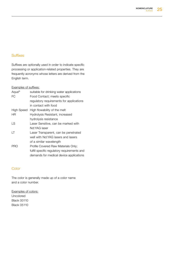#### **Suffixes**

Suffixes are optionally used in order to indicate specific processing or application-related properties. They are frequently acronyms whose letters are derived from the English term.

#### Examples of suffixes:

| Aqua <sup>®</sup> | suitable for drinking water applications     |
|-------------------|----------------------------------------------|
| FC                | Food Contact; meets specific                 |
|                   | regulatory requirements for applications     |
|                   | in contact with food                         |
| High Speed        | High flowability of the melt                 |
| ΗR                | Hydrolysis Resistant, increased              |
|                   | hydrolysis resistance                        |
| LS                | Laser Sensitive, can be marked with          |
|                   | Nd:YAG laser                                 |
| LT                | Laser Transparent, can be penetrated         |
|                   | well with Nd:YAG lasers and lasers           |
|                   | of a similar wavelength                      |
| PRO               | Profile Covered Raw Materials Only;          |
|                   | fulfill specific regulatory requirements and |
|                   | demands for medical device applications      |
|                   |                                              |

#### **Color**

The color is generally made up of a color name and a color number.

Examples of colors: Uncolored Black 00110 Black 05110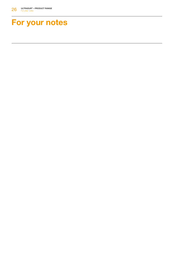## For your notes